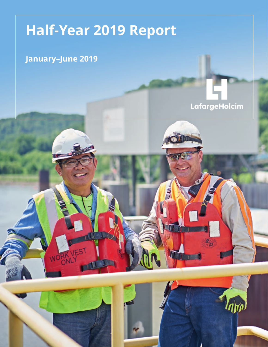# **Half-Year 2019 Report**

### **January–June 2019**

RK VI

### LafargeHolcim

투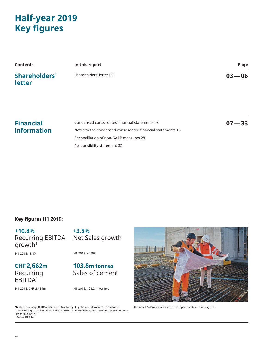### **Half-year 2019 Key figures**

| <b>Contents</b>         | In this report          | Page      |
|-------------------------|-------------------------|-----------|
| Shareholders'<br>letter | Shareholders' letter 03 | $03 - 06$ |

#### **Financial information**

Condensed consolidated financial statements 08 Notes to the condensed consolidated financial statements 15 Reconciliation of non-GAAP measures 28 Responsibility statement 32

#### **Key figures H1 2019:**

#### **+10.8%** Recurring EBITDA  $q$ rowth<sup>1</sup>

H1 2018: -1.4%

Net Sales growth

### **CHF2,662m** Recurring EBITDA1

H1 2018: CHF 2,484m

H1 2018: +4.8%

**+3.5%**

### **103.8m tonnes** Sales of cement

H1 2018: 108.2 m tonnes





**07—33**

The non-GAAP measures used in this report are defined on page 30.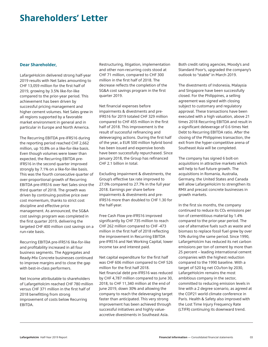### **Shareholders' Letter**

#### **Dear Shareholder,**

LafargeHolcim delivered strong half-year 2019 results with Net Sales amounting to CHF 13,059 million for the first half of 2019, growing by 3.5% like-for-like compared to the prior-year period. This achievement has been driven by successful pricing management and higher cement volumes. Net Sales grew in all regions supported by a favorable market environment in general and in particular in Europe and North America.

The Recurring EBITDA pre-IFRS16 during the reporting period reached CHF 2,662 million, up 10.8% on a like-for-like basis. Even though volumes were lower than expected, the Recurring EBITDA pre-IFRS16 in the second quarter improved strongly by 7.1% on a like-for-like basis. This was the fourth consecutive quarter of over-proportional growth of Recurring EBITDA pre-IFRS16 over Net Sales since the third quarter of 2018. The growth was driven by continuing positive price over cost momentum, thanks to strict cost discipline and effective price management. As announced, the SG&A cost savings program was completed in the first quarter 2019, delivering the targeted CHF 400 million cost savings on a run-rate basis.

Recurring EBITDA pre-IFRS16 like-for-like and profitability increased in all four business segments. The Aggregates and Ready-Mix Concrete businesses continued to improve margins and to close the gap with best-in-class performers.

Net Income attributable to shareholders of LafargeHolcim reached CHF 780 million versus CHF 371 million in the first half of 2018 benefitting from strong improvement of costs below Recurring EBITDA.

Restructuring, litigation, implementation and other non-recurring costs stood at CHF 71 million, compared to CHF 300 million in the first half of 2018. The decrease reflects the completion of the SG&A cost savings program in the first quarter 2019.

Net financial expenses before impairments & divestments and pre-IFRS16 for 2019 totaled CHF 329 million compared to CHF 455 million in the first half of 2018. This improvement is the result of successful refinancing and deleveraging actions. During the first half of the year, a EUR 500 million hybrid bond has been issued and expensive bonds have been successfully repurchased. Since January 2018, the Group has refinanced CHF 2.1 billion in total.

Excluding impairment & divestments, the Group's effective tax rate improved to 27.0% compared to 27.7% in the full year 2018. Earnings per share before impairments & divestments and pre-IFRS16 more than doubled to CHF 1.30 for the half-year.

Free Cash Flow pre-IFRS16 improved significantly by CHF 735 million to reach CHF 262 million compared to CHF -473 million in the first half of 2018 reflecting the improvement in Recurring EBITDA pre-IFRS16 and Net Working Capital, lower income tax and interest paid.

Net capital expenditure for the first half was CHF 606 million compared to CHF 526 million for the first half 2018. Net financial debt pre-IFRS16 was reduced by CHF 4,787 million compared to June 30, 2018, to CHF 11,340 million at the end of June 2019, down 30% and allowing the company to reach the deleveraging target faster than anticipated. This very strong improvement has been achieved through successful initiatives and highly valueaccretive divestments in Southeast Asia.

Both credit rating agencies, Moody's and Standard Poor's, upgraded the company's outlook to "stable" in March 2019.

The divestments of Indonesia, Malaysia and Singapore have been successfully closed. For the Philippines, a selling agreement was signed with closing subject to customary and regulatory approval. These transactions have been executed with a high valuation, above 21 times 2018 Recurring EBITDA and result in a significant deleverage of 0.6 times Net Debt to Recurring EBITDA ratio. After the closing of the Philippines transaction, the exit from the hyper-competitive arena of Southeast Asia will be completed.

The company has signed 6 bolt-on acquisitions in attractive markets which will help to fuel future growth. The acquisitions in Romania, Australia, Germany, the United States and Canada will allow LafargeHolcim to strengthen its RMX and precast concrete businesses in growth markets.

In the first six months, the company continued to reduce its CO2 emissions per ton of cementitious material by 1.4% compared to the prior-year period. The use of alternative fuels such as waste and biomass to replace fossil fuel grew by over 10% during the same period. Since 1990, LafargeHolcim has reduced its net carbon emissions per ton of cement by more than 25 percent – leading international cement companies with the highest reduction compared to the 1990 baseline. With a target of 520 kg net CO2/ton by 2030, LafargeHolcim remains the most ambitious company in the sector, committed to reducing emission levels in line with a 2 degree scenario, as agreed at the COP21 world climate conference in Paris. Health & Safety also improved with the Lost Time Injury Frequency Rate (LTIFR) continuing its downward trend.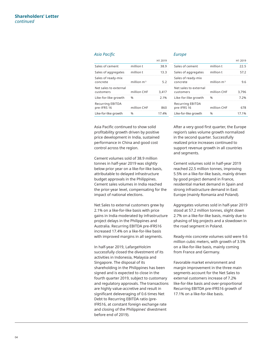#### *Asia Pacific Europe*

|                                        |               | .     |
|----------------------------------------|---------------|-------|
| Sales of cement                        | million t     | 38.9  |
| Sales of aggregates                    | million t     | 13.3  |
| Sales of ready-mix<br>concrete         | million $m3$  | 52    |
| Net sales to external<br>customers     | million CHF   | 3.417 |
| Like-for-like growth                   | $\frac{0}{0}$ | 21%   |
| <b>Recurring EBITDA</b><br>pre-IFRS 16 | million CHF   | 860   |
| Like-for-like growth                   |               | 17.4% |

Asia Pacific continued to show solid profitability growth driven by positive price development in India, sustained performance in China and good cost control across the region.

Cement volumes sold of 38.9 million tonnes in half-year 2019 was slightly below prior year on a like-for-like basis, attributable to delayed infrastructure budget approvals in the Philippines. Cement sales volumes in India reached the prior-year level, compensating for the impact of national elections.

Net Sales to external customers grew by 2.1% on a like-for-like basis with price gains in India moderated by infrastructure project delays in the Philippines and Australia. Recurring EBITDA pre-IFRS16 increased 17.4% on a like-for-like basis with improved margins in all segments.

In half-year 2019, LafargeHolcim successfully closed the divestment of its activities in Indonesia, Malaysia and Singapore. The disposal of its shareholding in the Philippines has been signed and is expected to close in the fourth quarter 2019, subject to customary and regulatory approvals. The transactions are highly value-accretive and result in significant deleveraging of 0.6 times Net Debt to Recurring EBITDA ratio (pre-IFRS16, at constant foreign exchange rate and closing of the Philippines' divestment before end of 2019).

 $H1, 2010$ 

|                                    |              | H1 2019 |
|------------------------------------|--------------|---------|
| Sales of cement                    | million t    | 22.5    |
| Sales of aggregates                | million t    | 57.2    |
| Sales of ready-mix<br>concrete     | million $m3$ | 9 R     |
| Net sales to external<br>customers | million CHF  | 3.796   |
| Like-for-like growth               | 0/2          | 7 2%    |
| Recurring EBITDA<br>pre-IFRS 16    | million CHF  | 678     |
| Like-for-like growth               |              | 17.1%   |

After a very good first quarter, the Europe region's sales volume growth normalized in the second quarter. Successfully realized price increases continued to support revenue growth in all countries and segments.

Cement volumes sold in half-year 2019 reached 22.5 million tonnes, improving 5.5% on a like-for-like basis, mainly driven by good project demand in France, residential market demand in Spain and strong infrastructure demand in East Europe (mainly Romania and Poland).

Aggregates volumes sold in half-year 2019 stood at 57.2 million tonnes, slight down 2.7% on a like-for-like basis, mainly due to phasing of big projects and a slowdown in the road segment in Poland.

Ready-mix concrete volumes sold were 9.6 million cubic meters, with growth of 3.5% on a like-for-like basis, mainly coming from France and Germany.

Favorable market environment and margin improvement in the three main segments account for the Net Sales to external customers increase of 7.2% like-for-like basis and over-proportional Recurring EBITDA pre-IFRS16 growth of 17.1% on a like-for-like basis.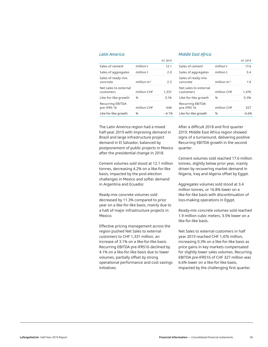|                                        |               | <b>HI/UI</b> |
|----------------------------------------|---------------|--------------|
| Sales of cement                        | million t     | 12.1         |
| Sales of aggregates                    | million t     | 2.0          |
| Sales of ready-mix<br>concrete         | million $m3$  | フ5           |
| Net sales to external<br>customers     | million CHF   | 1.331        |
| Like-for-like growth                   | $\frac{0}{0}$ | 3.1%         |
| <b>Recurring EBITDA</b><br>pre-IFRS 16 | million CHF   | 446          |
| Like-for-like growth                   | 0/2           | $-4.1\%$     |
|                                        |               |              |

The Latin America region had a mixed half-year 2019 with improving demand in Brazil and large infrastructure project demand in El Salvador, balanced by postponement of public projects in Mexico after the presidential change in 2018.

Cement volumes sold stood at 12.1 million tonnes, decreasing 4.2% on a like-for-like basis, impacted by the post-election challenges in Mexico and softer demand in Argentina and Ecuador.

Ready-mix concrete volumes sold decreased by 11.3% compared to prior year on a like-for-like basis, mainly due to a halt of major infrastructure projects in Mexico.

Effective pricing management across the region pushed Net Sales to external customers to CHF 1,331 million, an increase of 3.1% on a like-for-like basis. Recurring EBITDA pre-IFRS16 declined by 4.1% on a like-for-like basis due to lower volumes, partially offset by strong operational performance and cost savings initiatives.

#### *Latin America Middle East Africa*

 $\frac{1}{2}$ 

|                                        |               | H1 2019 |
|----------------------------------------|---------------|---------|
| Sales of cement                        | million t     | 17.6    |
| Sales of aggregates                    | million t     | 3 4     |
| Sales of ready-mix<br>concrete         | million $m3$  | 1 G     |
| Net sales to external<br>customers     | million CHF   | 1.476   |
| Like-for-like growth                   | $\frac{0}{0}$ | U 30%   |
| <b>Recurring EBITDA</b><br>pre-IFRS 16 | million CHF   | 327     |
| Like-for-like growth                   |               | -6 60   |

After a difficult 2018 and first quarter 2019, Middle East Africa region showed signs of a turnaround, delivering positive Recurring EBITDA growth in the second quarter.

Cement volumes sold reached 17.6 million tonnes, slightly below prior year, mainly driven by recovering market demand in Nigeria, Iraq and Algeria offset by Egypt.

Aggregates volumes sold stood at 3.4 million tonnes, or 16.8% lower on a like-for-like basis with discontinuation of loss-making operations in Egypt.

Ready-mix concrete volumes sold reached 1.9 million cubic meters, 3.5% lower on a like-for-like basis.

Net Sales to external customers in half year 2019 reached CHF 1,476 million, increasing 0.3% on a like-for-like basis as price gains in key markets compensated for slightly lower sales volumes. Recurring EBITDA pre-IFRS16 of CHF 327 million was 6.6% lower on a like-for-like basis, impacted by the challenging first quarter.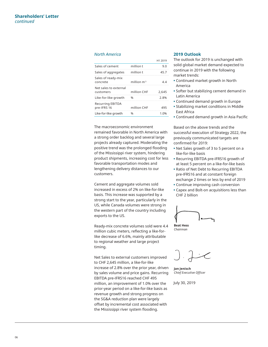#### *North America*

|                                        |              | <b>HI/UI</b> |
|----------------------------------------|--------------|--------------|
| Sales of cement                        | million t    | 91           |
| Sales of aggregates                    | million t    | 45.7         |
| Sales of ready-mix<br>concrete         | million $m3$ |              |
| Net sales to external<br>customers     | million CHF  | 2.645        |
| Like-for-like growth                   | 0/2          | 2.8%         |
| <b>Recurring EBITDA</b><br>pre-IFRS 16 | million CHF  | 495          |
| Like-for-like growth                   |              | 1 በ‰         |

The macroeconomic environment remained favorable in North America with a strong order backlog and several large projects already captured. Moderating the positive trend was the prolonged flooding of the Mississippi river system, hindering product shipments, increasing cost for less favorable transportation modes and lengthening delivery distances to our customers.

Cement and aggregate volumes sold increased in excess of 2% on like-for-like basis. This increase was supported by a strong start to the year, particularly in the US, while Canada volumes were strong in the western part of the country including exports to the US.

Ready-mix concrete volumes sold were 4.4 million cubic meters, reflecting a like-forlike decrease of 6.6%, mainly attributable to regional weather and large project timing.

Net Sales to external customers improved to CHF 2,645 million, a like-for-like increase of 2.8% over the prior year, driven by sales volume and price gains. Recurring EBITDA pre-IFRS16 reached CHF 495 million, an improvement of 1.0% over the prior-year period on a like-for-like basis as revenue growth and strong progress on the SG&A reduction plan were largely offset by incremental cost associated with the Mississippi river system flooding.

#### **2019 Outlook**

 $H = 2010$ 

The outlook for 2019 is unchanged with solid global market demand expected to continue in 2019 with the following market trends:

- **•** Continued market growth in North America
- **•** Softer but stabilizing cement demand in Latin America
- **•** Continued demand growth in Europe
- **•** Stabilizing market conditions in Middle East Africa
- **•** Continued demand growth in Asia Pacific

Based on the above trends and the successful execution of Strategy 2022, the previously communicated targets are confirmed for 2019:

- **•** Net Sales growth of 3 to 5 percent on a like-for-like basis
- **•** Recurring EBITDA pre-IFRS16 growth of at least 5 percent on a like-for-like basis
- **•** Ratio of Net Debt to Recurring EBITDA pre-IFRS16 and at constant foreign exchange 2 times or less by end of 2019
- **•** Continue improving cash conversion
- **•** Capex and Bolt-on acquisitions less than CHF 2 billion



**Beat Hess** *Chairman*

**Jan Jenisch** *Chief Executive Officer*

July 30, 2019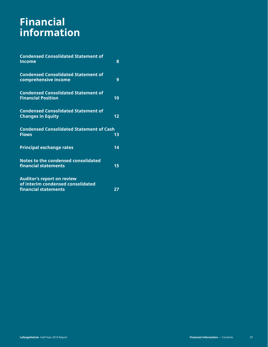## **Financial information**

| <b>Condensed Consolidated Statement of</b><br><b>Income</b>                                    | 8  |
|------------------------------------------------------------------------------------------------|----|
| <b>Condensed Consolidated Statement of</b><br>comprehensive income                             | 9  |
| <b>Condensed Consolidated Statement of</b><br><b>Financial Position</b>                        | 10 |
| <b>Condensed Consolidated Statement of</b><br><b>Changes in Equity</b>                         | 12 |
| <b>Condensed Consolidated Statement of Cash</b><br><b>Flows</b>                                | 13 |
| <b>Principal exchange rates</b>                                                                | 14 |
| <b>Notes to the condensed consolidated</b><br>financial statements                             | 15 |
| <b>Auditor's report on review</b><br>of interim condensed consolidated<br>financial statements | 27 |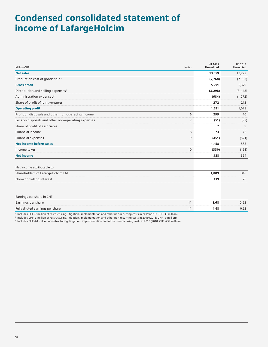### **Condensed consolidated statement of income of LafargeHolcim**

| Million CHF                                                                                                                                  | <b>Notes</b>   | H1 2019<br><b>Unaudited</b> | H1 2018<br>Unaudited |
|----------------------------------------------------------------------------------------------------------------------------------------------|----------------|-----------------------------|----------------------|
| <b>Net sales</b>                                                                                                                             |                | 13,059                      | 13,272               |
| Production cost of goods sold <sup>1</sup>                                                                                                   |                | (7,768)                     | (7,893)              |
| <b>Gross profit</b>                                                                                                                          |                | 5,291                       | 5,379                |
| Distribution and selling expenses <sup>2</sup>                                                                                               |                | (3, 298)                    | (3, 443)             |
| Administration expenses <sup>3</sup>                                                                                                         |                | (684)                       | (1,072)              |
| Share of profit of joint ventures                                                                                                            |                | 272                         | 213                  |
| <b>Operating profit</b>                                                                                                                      |                | 1,581                       | 1,078                |
| Profit on disposals and other non-operating income                                                                                           | 6              | 299                         | 40                   |
| Loss on disposals and other non-operating expenses                                                                                           | $\overline{7}$ | (51)                        | (92)                 |
| Share of profit of associates                                                                                                                |                | $\overline{7}$              | 9                    |
| Financial income                                                                                                                             | 8              | 73                          | 72                   |
| Financial expenses                                                                                                                           | 9              | (451)                       | (521)                |
| <b>Net income before taxes</b>                                                                                                               |                | 1,458                       | 585                  |
| Income taxes                                                                                                                                 | 10             | (330)                       | (191)                |
| <b>Net income</b>                                                                                                                            |                | 1,128                       | 394                  |
| Net income attributable to:                                                                                                                  |                |                             |                      |
| Shareholders of LafargeHolcim Ltd                                                                                                            |                | 1.009                       | 318                  |
| Non-controlling interest                                                                                                                     |                | 119                         | 76                   |
| Earnings per share in CHF                                                                                                                    |                |                             |                      |
| Earnings per share                                                                                                                           | 11             | 1.68                        | 0.53                 |
| Fully diluted earnings per share                                                                                                             | 11             | 1.68                        | 0.53                 |
| <sup>1</sup> Includes CHE-7 million of restructuring litigation, implementation and other non-recurring costs in 2019 (2018; CHE-35 million) |                |                             |                      |

1 Includes CHF -7 million of restructuring, litigation, implementation and other non-recurring costs in 2019 (2018: CHF -35 million).

2 Includes CHF -3 million of restructuring, litigation, implementation and other non-recurring costs in 2019 (2018: CHF - 9 million).

3 Includes CHF -61 million of restructuring, litigation, implementation and other non-recurring costs in 2019 (2018: CHF -257 million).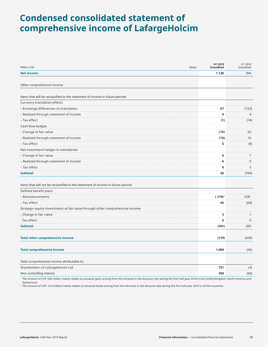### **Condensed consolidated statement of comprehensive income of LafargeHolcim**

| Million CHF                                                                                                                                                                             | Notes | H1 2019<br><b>Unaudited</b> | H1 2018<br>Unaudited |
|-----------------------------------------------------------------------------------------------------------------------------------------------------------------------------------------|-------|-----------------------------|----------------------|
| <b>Net income</b>                                                                                                                                                                       |       | 1,128                       | 394                  |
|                                                                                                                                                                                         |       |                             |                      |
| Other comprehensive income                                                                                                                                                              |       |                             |                      |
| Items that will be reclassified to the statement of income in future periods                                                                                                            |       |                             |                      |
| Currency translation effects                                                                                                                                                            |       |                             |                      |
| - Exchange differences on translation                                                                                                                                                   |       | 67                          | (723)                |
| - Realized through statement of income                                                                                                                                                  |       | 0                           | $\overline{4}$       |
| - Tax effect                                                                                                                                                                            |       | (1)                         | (14)                 |
| Cash flow hedges                                                                                                                                                                        |       |                             |                      |
| - Change in fair value                                                                                                                                                                  |       | (15)                        | 25                   |
| - Realized through statement of income                                                                                                                                                  |       | (19)                        | 10                   |
| - Tax effect                                                                                                                                                                            |       | 5                           | (9)                  |
| Net investment hedges in subsidiaries                                                                                                                                                   |       |                             |                      |
| - Change in fair value                                                                                                                                                                  |       | 0                           | $\mathbf{1}$         |
| - Realized through statement of income                                                                                                                                                  |       | 6                           | $\mathbf 0$          |
| - Tax effect                                                                                                                                                                            |       | 0                           | 3                    |
| <b>Subtotal</b>                                                                                                                                                                         |       | 42                          | (704)                |
|                                                                                                                                                                                         |       |                             |                      |
| Items that will not be reclassified to the statement of income in future periods                                                                                                        |       |                             |                      |
| Defined benefit plans                                                                                                                                                                   |       |                             |                      |
| - Remeasurements                                                                                                                                                                        |       | $(210)^2$                   | 3281                 |
| - Tax effect                                                                                                                                                                            |       | 46                          | (64)                 |
| Strategic equity investments at fair value through other comprehensive income                                                                                                           |       |                             |                      |
| - Change in fair value                                                                                                                                                                  |       | з                           | $\mathbf{1}$         |
| - Tax effect                                                                                                                                                                            |       | 0                           | $\mathbf{0}$         |
| <b>Subtotal</b>                                                                                                                                                                         |       | (161)                       | 265                  |
|                                                                                                                                                                                         |       |                             |                      |
| <b>Total other comprehensive income</b>                                                                                                                                                 |       | (119)                       | (439)                |
| <b>Total comprehensive income</b>                                                                                                                                                       |       | 1,009                       | (45)                 |
|                                                                                                                                                                                         |       |                             |                      |
| Total comprehensive income attributable to:                                                                                                                                             |       |                             |                      |
| Shareholders of LafargeHolcim Ltd                                                                                                                                                       |       | 751                         | (3)                  |
| Non-controlling interest                                                                                                                                                                |       | 258                         | (42)                 |
| The amount of CHE 328 million mainly relates to actuarial gains arising from the increase in the discount rate during the first half year 2018 in the United Kingdom, North America and |       |                             |                      |

ng from the increase in the discount rate during the first ha<br> Switzerland.

<sup>2</sup> The amount of CHF -210 million mainly relates to actuarial losses arising from the decrease in the discount rate during the first half year 2019 in all the countries.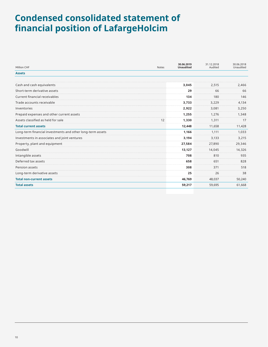### **Condensed consolidated statement of financial position of LafargeHolcim**

| Million CHF                                                | <b>Notes</b> | 30.06.2019<br><b>Unaudited</b> | 31.12.2018<br>Audited | 30.06.2018<br>Unaudited |
|------------------------------------------------------------|--------------|--------------------------------|-----------------------|-------------------------|
| <b>Assets</b>                                              |              |                                |                       |                         |
|                                                            |              |                                |                       |                         |
| Cash and cash equivalents                                  |              | 3,045                          | 2,515                 | 2,466                   |
| Short-term derivative assets                               |              | 29                             | 66                    | 66                      |
| Current financial receivables                              |              | 134                            | 180                   | 146                     |
| Trade accounts receivable                                  |              | 3,733                          | 3,229                 | 4,134                   |
| Inventories                                                |              | 2,922                          | 3,081                 | 3,250                   |
| Prepaid expenses and other current assets                  |              | 1,255                          | 1,276                 | 1,348                   |
| Assets classified as held for sale                         | 12           | 1,330                          | 1,311                 | 17                      |
| <b>Total current assets</b>                                |              | 12,448                         | 11,658                | 11,428                  |
| Long-term financial investments and other long-term assets |              | 1,166                          | 1,111                 | 1,033                   |
| Investments in associates and joint ventures               |              | 3,194                          | 3,133                 | 3,215                   |
| Property, plant and equipment                              |              | 27,584                         | 27,890                | 29,346                  |
| Goodwill                                                   |              | 13,127                         | 14,045                | 14,326                  |
| Intangible assets                                          |              | 708                            | 810                   | 935                     |
| Deferred tax assets                                        |              | 658                            | 651                   | 828                     |
| Pension assets                                             |              | 308                            | 371                   | 518                     |
| Long-term derivative assets                                |              | 25                             | 26                    | 38                      |
| <b>Total non-current assets</b>                            |              | 46,769                         | 48,037                | 50,240                  |
| <b>Total assets</b>                                        |              | 59,217                         | 59,695                | 61,668                  |
|                                                            |              |                                |                       |                         |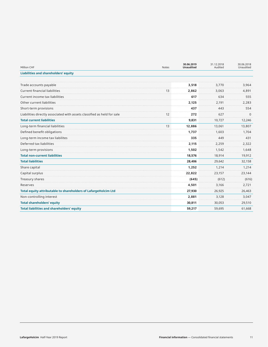| Million CHF                                                             | <b>Notes</b> | 30.06.2019<br><b>Unaudited</b> | 31.12.2018<br>Audited | 30.06.2018<br>Unaudited |
|-------------------------------------------------------------------------|--------------|--------------------------------|-----------------------|-------------------------|
| <b>Liabilities and shareholders' equity</b>                             |              |                                |                       |                         |
|                                                                         |              |                                |                       |                         |
| Trade accounts payable                                                  |              | 3,518                          | 3,770                 | 3,964                   |
| <b>Current financial liabilities</b>                                    | 13           | 2,862                          | 3,063                 | 4,891                   |
| Current income tax liabilities                                          |              | 617                            | 634                   | 555                     |
| Other current liabilities                                               |              | 2,125                          | 2,191                 | 2,283                   |
| Short-term provisions                                                   |              | 437                            | 443                   | 554                     |
| Liabilities directly associated with assets classified as held for sale | 12           | 272                            | 627                   | $\Omega$                |
| <b>Total current liabilities</b>                                        |              | 9,831                          | 10,727                | 12,246                  |
| Long-term financial liabilities                                         | 13           | 12,886                         | 13,061                | 13,807                  |
| Defined benefit obligations                                             |              | 1,737                          | 1.603                 | 1,704                   |
| Long-term income tax liabilites                                         |              | 335                            | 449                   | 431                     |
| Deferred tax liabilities                                                |              | 2,115                          | 2,259                 | 2,322                   |
| Long-term provisions                                                    |              | 1,502                          | 1,542                 | 1,648                   |
| <b>Total non-current liabilities</b>                                    |              | 18,576                         | 18,914                | 19,912                  |
| <b>Total liabilities</b>                                                |              | 28,406                         | 29,642                | 32,158                  |
| Share capital                                                           |              | 1,252                          | 1,214                 | 1,214                   |
| Capital surplus                                                         |              | 22,822                         | 23,157                | 23,144                  |
| Treasury shares                                                         |              | (645)                          | (612)                 | (616)                   |
| Reserves                                                                |              | 4,501                          | 3,166                 | 2,721                   |
| Total equity attributable to shareholders of LafargeHolcim Ltd          |              | 27,930                         | 26,925                | 26,463                  |
| Non-controlling interest                                                |              | 2,881                          | 3,128                 | 3,047                   |
| <b>Total shareholders' equity</b>                                       |              | 30,811                         | 30,053                | 29,510                  |
| <b>Total liabilities and shareholders' equity</b>                       |              | 59,217                         | 59,695                | 61,668                  |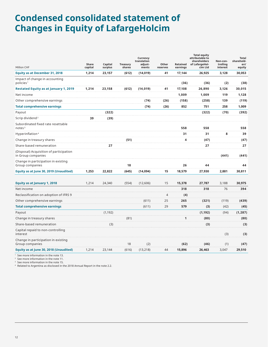### **Condensed consolidated statement of Changes in Equity of LafargeHolcim**

| Million CHF                                                   | Share<br>capital | Capital<br>surplus | <b>Treasury</b><br>shares | Currency<br>translation<br>adjust-<br>ments | Other<br>reserves | Retained<br>earnings | <b>Total equity</b><br>attributable to<br>shareholders<br>of LafargeHol-<br>cim Ltd | Non-con-<br>trolling<br>interest | <b>Total</b><br>sharehold-<br>ers'<br>equity |
|---------------------------------------------------------------|------------------|--------------------|---------------------------|---------------------------------------------|-------------------|----------------------|-------------------------------------------------------------------------------------|----------------------------------|----------------------------------------------|
| <b>Equity as at December 31, 2018</b>                         | 1,214            | 23,157             | (612)                     | (14, 019)                                   | 41                | 17,144               | 26,925                                                                              | 3,128                            | 30,053                                       |
| Impact of change in accounting<br>policies <sup>1</sup>       |                  |                    |                           |                                             |                   | (36)                 | (36)                                                                                | (2)                              | (38)                                         |
| <b>Restated Equity as at January 1, 2019</b>                  | 1,214            | 23,158             | (612)                     | (14, 019)                                   | 41                | 17,108               | 26,890                                                                              | 3,126                            | 30,015                                       |
| Net income                                                    |                  |                    |                           |                                             |                   | 1,009                | 1,009                                                                               | 119                              | 1,128                                        |
| Other comprehensive earnings                                  |                  |                    |                           | (74)                                        | (26)              | (158)                | (258)                                                                               | 139                              | (119)                                        |
| <b>Total comprehensive earnings</b>                           |                  |                    |                           | (74)                                        | (26)              | 852                  | 751                                                                                 | 258                              | 1,009                                        |
| Payout                                                        |                  | (322)              |                           |                                             |                   |                      | (322)                                                                               | (70)                             | (392)                                        |
| Scrip dividend <sup>2</sup>                                   | 39               | (39)               |                           |                                             |                   |                      |                                                                                     |                                  |                                              |
| Subordinated fixed rate resettable<br>notes <sup>3</sup>      |                  |                    |                           |                                             |                   | 558                  | 558                                                                                 |                                  | 558                                          |
| Hyperinflation <sup>4</sup>                                   |                  |                    |                           |                                             |                   | 31                   | 31                                                                                  | 8                                | 39                                           |
| Change in treasury shares                                     |                  |                    | (51)                      |                                             |                   | 4                    | (47)                                                                                |                                  | (47)                                         |
| Share-based remuneration                                      |                  | 27                 |                           |                                             |                   |                      | 27                                                                                  |                                  | 27                                           |
| (Disposal) Acquisition of participation<br>in Group companies |                  |                    |                           |                                             |                   |                      |                                                                                     | (441)                            | (441)                                        |
| Change in participation in existing<br>Group companies        |                  |                    | 18                        |                                             |                   | 26                   | 44                                                                                  |                                  | 44                                           |
| Equity as at June 30, 2019 (Unaudited)                        | 1,253            | 22,822             | (645)                     | (14,094)                                    | 15                | 18,579               | 27,930                                                                              | 2,881                            | 30,811                                       |
| Equity as at January 1, 2018                                  | 1.214            | 24,340             | (554)                     | (12,606)                                    | 15                | 15,378               | 27,787                                                                              | 3,188                            | 30,975                                       |
| Net income                                                    |                  |                    |                           |                                             |                   | 318                  | 318                                                                                 | 76                               | 394                                          |
| Reclassification on adoption of IFRS 9                        |                  |                    |                           |                                             | $\overline{4}$    | (4)                  |                                                                                     |                                  |                                              |
| Other comprehensive earnings                                  |                  |                    |                           | (611)                                       | 25                | 265                  | (321)                                                                               | (119)                            | (439)                                        |
| <b>Total comprehensive earnings</b>                           |                  |                    |                           | (611)                                       | 29                | 579                  | (3)                                                                                 | (42)                             | (45)                                         |
| Payout                                                        |                  | (1, 192)           |                           |                                             |                   |                      | (1, 192)                                                                            | (94)                             | (1, 287)                                     |
| Change in treasury shares                                     |                  |                    | (81)                      |                                             |                   | 1                    | (80)                                                                                |                                  | (80)                                         |
| Share-based remuneration                                      |                  | (3)                |                           |                                             |                   |                      | (3)                                                                                 |                                  | (3)                                          |
| Capital repaid to non-controlling<br>interest                 |                  |                    |                           |                                             |                   |                      |                                                                                     | (3)                              | (3)                                          |
| Change in participation in existing<br>Group companies        |                  |                    | 18                        | (2)                                         |                   | (62)                 | (46)                                                                                | (1)                              | (47)                                         |
| Equity as at June 30, 2018 (Unaudited)                        | 1,214            | 23,144             | (616)                     | (13, 218)                                   | 44                | 15,896               | 26,463                                                                              | 3,047                            | 29,510                                       |

<sup>1</sup> See more information in the note 13.

2 See more information in the note 11.

<sup>3</sup> See more information in the note 15.

4 Related to Argentina as disclosed in the 2018 Annual Report in the note 2.2.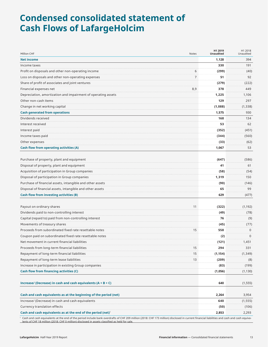### **Condensed consolidated statement of Cash Flows of LafargeHolcim**

| Million CHF                                                                                                                                                                                | Notes          | H1 2019<br><b>Unaudited</b> | H1 2018<br>Unaudited |
|--------------------------------------------------------------------------------------------------------------------------------------------------------------------------------------------|----------------|-----------------------------|----------------------|
| <b>Net income</b>                                                                                                                                                                          |                | 1,128                       | 394                  |
| Income taxes                                                                                                                                                                               |                | 330                         | 191                  |
| Profit on disposals and other non-operating income                                                                                                                                         | 6              | (299)                       | (40)                 |
| Loss on disposals and other non-operating expenses                                                                                                                                         | $\overline{7}$ | 51                          | 92                   |
| Share of profit of associates and joint ventures                                                                                                                                           |                | (279)                       | (222)                |
| Financial expenses net                                                                                                                                                                     | 8,9            | 378                         | 449                  |
| Depreciation, amortization and impairment of operating assets                                                                                                                              |                | 1,225                       | 1,106                |
| Other non-cash items                                                                                                                                                                       |                | 129                         | 297                  |
| Change in net working capital                                                                                                                                                              |                | (1,088)                     | (1, 338)             |
| <b>Cash generated from operations</b>                                                                                                                                                      |                | 1,575                       | 930                  |
| Dividends received                                                                                                                                                                         |                | 168                         | 134                  |
| Interest received                                                                                                                                                                          |                | 53                          | 62                   |
| Interest paid                                                                                                                                                                              |                | (352)                       | (451)                |
| Income taxes paid                                                                                                                                                                          |                | (344)                       | (560)                |
| Other expenses                                                                                                                                                                             |                | (33)                        | (62)                 |
| Cash flow from operating activities (A)                                                                                                                                                    |                | 1,067                       | 53                   |
|                                                                                                                                                                                            |                |                             |                      |
| Purchase of property, plant and equipment                                                                                                                                                  |                | (647)                       | (586)                |
| Disposal of property, plant and equipment                                                                                                                                                  |                | 41                          | 61                   |
| Acquisition of participation in Group companies                                                                                                                                            |                | (58)                        | (54)                 |
| Disposal of participation in Group companies                                                                                                                                               |                | 1,319                       | 150                  |
| Purchase of financial assets, intangible and other assets                                                                                                                                  |                | (90)                        | (146)                |
| Disposal of financial assets, intangible and other assets                                                                                                                                  |                | 65                          | 99                   |
| Cash flow from investing activities (B)                                                                                                                                                    |                | 629                         | (477)                |
| Payout on ordinary shares                                                                                                                                                                  | 11             | (322)                       | (1, 192)             |
| Dividends paid to non-controlling interest                                                                                                                                                 |                | (49)                        | (78)                 |
| Capital (repaid to) paid from non-controlling interest                                                                                                                                     |                | 76                          | (9)                  |
| Movements of treasury shares                                                                                                                                                               |                | (45)                        | (77)                 |
| Proceeds from subordinated fixed rate resettable notes                                                                                                                                     | 15             | 558                         | $\mathbf 0$          |
| Coupon paid on subordinated fixed rate resettable notes                                                                                                                                    |                | (2)                         | $\Omega$             |
| Net movement in current financial liabilities                                                                                                                                              |                | (121)                       | 1,451                |
| Proceeds from long-term financial liabilities                                                                                                                                              | 15             | 294                         | 331                  |
| Repayment of long-term financial liabilities                                                                                                                                               | 15             | (1, 154)                    | (1, 349)             |
| Repayment of long-term lease liabilities                                                                                                                                                   | 13             | (209)                       | (8)                  |
| Increase in participation in existing Group companies                                                                                                                                      |                | (83)                        | (199)                |
| Cash flow from financing activities (C)                                                                                                                                                    |                |                             |                      |
|                                                                                                                                                                                            |                | (1,056)                     | (1, 130)             |
| Increase/ (Decrease) in cash and cash equivalents $(A + B + C)$                                                                                                                            |                | 640                         | (1, 555)             |
| Cash and cash equivalents as at the beginning of the period (net)                                                                                                                          |                | 2,264                       | 3,954                |
| Increase/ (Decrease) in cash and cash equivalents                                                                                                                                          |                | 640                         | (1, 555)             |
| Currency translation effects                                                                                                                                                               |                | (50)                        | (106)                |
| Cash and cash equivalents as at the end of the period (net) $1$                                                                                                                            |                | 2,853                       | 2,293                |
| Cash and cash equivalents at the end of the period include bank overdrafts of CHF 209 million (2018: CHF 173 million) disclosed in current financial liabilities and cash and cash equiva- |                |                             |                      |

lents of CHF 18 million (2018: CHF 0 million) disclosed in assets classified as held for sale.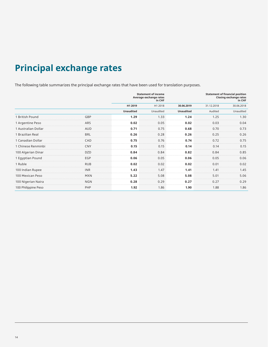## **Principal exchange rates**

The following table summarizes the principal exchange rates that have been used for translation purposes.

|                     |            |                  | <b>Statement of income</b><br>Average exchange rates<br>in CHF |                  | <b>Statement of financial position</b><br><b>Closing exchange rates</b><br>in CHF |            |  |
|---------------------|------------|------------------|----------------------------------------------------------------|------------------|-----------------------------------------------------------------------------------|------------|--|
|                     |            | H1 2019          | H1 2018                                                        | 30.06.2019       | 31.12.2018                                                                        | 30.06.2018 |  |
|                     |            | <b>Unaudited</b> | Unaudited                                                      | <b>Unaudited</b> | Audited                                                                           | Unaudited  |  |
| 1 British Pound     | GBP        | 1.29             | 1.33                                                           | 1.24             | 1.25                                                                              | 1.30       |  |
| 1 Argentine Peso    | ARS        | 0.02             | 0.05                                                           | 0.02             | 0.03                                                                              | 0.04       |  |
| 1 Australian Dollar | <b>AUD</b> | 0.71             | 0.75                                                           | 0.68             | 0.70                                                                              | 0.73       |  |
| 1 Brazilian Real    | <b>BRL</b> | 0.26             | 0.28                                                           | 0.26             | 0.25                                                                              | 0.26       |  |
| 1 Canadian Dollar   | CAD        | 0.75             | 0.76                                                           | 0.74             | 0.72                                                                              | 0.75       |  |
| 1 Chinese Renminbi  | CNY        | 0.15             | 0.15                                                           | 0.14             | 0.14                                                                              | 0.15       |  |
| 100 Algerian Dinar  | <b>DZD</b> | 0.84             | 0.84                                                           | 0.82             | 0.84                                                                              | 0.85       |  |
| 1 Egyptian Pound    | EGP        | 0.06             | 0.05                                                           | 0.06             | 0.05                                                                              | 0.06       |  |
| 1 Ruble             | <b>RUB</b> | 0.02             | 0.02                                                           | 0.02             | 0.01                                                                              | 0.02       |  |
| 100 Indian Rupee    | <b>INR</b> | 1.43             | 1.47                                                           | 1.41             | 1.41                                                                              | 1.45       |  |
| 100 Mexican Peso    | <b>MXN</b> | 5.22             | 5.08                                                           | 5.08             | 5.01                                                                              | 5.06       |  |
| 100 Nigerian Naira  | <b>NGN</b> | 0.28             | 0.29                                                           | 0.27             | 0.27                                                                              | 0.29       |  |
| 100 Philippine Peso | PHP        | 1.92             | 1.86                                                           | 1.90             | 1.88                                                                              | 1.86       |  |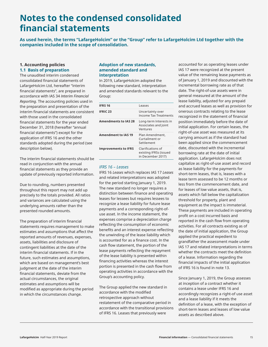### **Notes to the condensed consolidated financial statements**

**As used herein, the terms "LafargeHolcim" or the "Group" refer to LafargeHolcim Ltd together with the companies included in the scope of consolidation.**

#### **1. Accounting policies 1.1 Basis of preparation**

The unaudited interim condensed consolidated financial statements of LafargeHolcim Ltd, hereafter "interim financial statements", are prepared in accordance with IAS 34 *Interim Financial Reporting*. The accounting policies used in the preparation and presentation of the interim financial statements are consistent with those used in the consolidated financial statements for the year ended December 31, 2018 (hereafter "annual financial statements") except for the application of IFRS 16 and the other standards adopted during the period (see description below).

The interim financial statements should be read in conjunction with the annual financial statements as they provide an update of previously reported information.

Due to rounding, numbers presented throughout this report may not add up precisely to the totals provided. All ratios and variances are calculated using the underlying amounts rather than the presented rounded amounts.

The preparation of interim financial statements requires management to make estimates and assumptions that affect the reported amounts of revenues, expenses, assets, liabilities and disclosure of contingent liabilities at the date of the interim financial statements. If in the future, such estimates and assumptions, which are based on management's best judgment at the date of the interim financial statements, deviate from the actual circumstances, the original estimates and assumptions will be modified as appropriate during the period in which the circumstances change.

#### **Adoption of new standards, amended standard and interpretation**

In 2019, LafargeHolcim adopted the following new standard, interpretation and amended standards relevant to the Group:

| <b>IFRS 16</b>              | Leases                                                           |
|-----------------------------|------------------------------------------------------------------|
| <b>IFRIC 23</b>             | Uncertainty over<br><b>Income Tax Treatments</b>                 |
| <b>Amendments to IAS 28</b> | Long-term Interests in<br>Associates and Joint<br>Ventures       |
| Amendment to IAS 19         | Plan Amendment.<br>Curtailment or<br>Settlement                  |
| <b>Improvements to IFRS</b> | Clarifications of<br>existing IFRSs (issued<br>in December 2017) |

#### *IFRS 16 – Leases*

IFRS 16 *Leases* which replaces IAS 17 *Leases* and related interpretations was adopted for the period starting January 1, 2019. The new standard no longer requires a distinction between finance and operating leases for lessees but requires lessees to recognize a lease liability for future lease payments and a corresponding right-ofuse asset. In the income statement, the expenses comprise a depreciation charge reflecting the consumption of economic benefits and an interest expense reflecting the unwinding of the lease liability which is accounted for as a finance cost. In the cash flow statement, the portion of the lease payments reflecting the repayment of the lease liability is presented within financing activities whereas the interest portion is presented in the cash flow from operating activities in accordance with the Group's accounting policy.

The Group applied the new standard in accordance with the modified retrospective approach without restatement of the comparative period in accordance with the transitional provisions of IFRS 16. Leases that previously were

accounted for as operating leases under IAS 17 were recognized at the present value of the remaining lease payments as of January 1, 2019 and discounted with the incremental borrowing rate as of that date. The right-of-use assets were in general measured at the amount of the lease liability, adjusted for any prepaid and accrued leases as well as provision for onerous contracts relating to the lease recognized in the statement of financial position immediately before the date of initial application. For certain leases, the right-of-use asset was measured at its carrying amount as if the standard had been applied since the commencement date, discounted with the incremental borrowing rate at the date of initial application. LafargeHolcim does not capitalize as right-of-use asset and record as lease liability for the payments for short-term leases, that is, leases with a lease term assessed to be 12 months or less from the commencement date, and for leases of low value assets, that is, assets which fall below the capitalization threshold for property, plant and equipment as the impact is immaterial. These payments are included in operating profit on a cost incurred basis and reported in the cash flow from operating activities. For all contracts existing as of the date of initial application, the Group applied the practical expedient to grandfather the assessment made under IAS 17 and related interpretations in terms whether the contracts meet the definition of a lease. Information regarding the financial impacts of the initial application of IFRS 16 is found in note 13.

Since January 1, 2019, the Group assesses at inception of a contract whether it contains a lease under IFRS 16 and accordingly recognizes a right-of use asset and a lease liability if it meets the definition of a lease, with the exception of short-term leases and leases of low value assets as described above.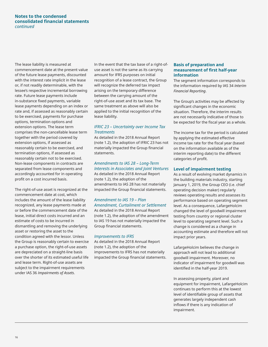#### **Notes to the condensed consolidated financial statements** *continued*

The lease liability is measured at commencement date at the present value of the future lease payments, discounted with the interest rate implicit in the lease or, if not readily determinable, with the lessee's respective incremental borrowing rate. Future lease payments include in-substance fixed payments, variable lease payments depending on an index or rate and, if assessed as reasonably certain to be exercised, payments for purchase options, termination options and extension options. The lease term comprises the non-cancellable lease term together with the period covered by extension options, if assessed as reasonably certain to be exercised, and termination options, if assessed as reasonably certain not to be exercised. Non-lease components in contracts are separated from lease components and accordingly accounted for in operating profit on a cost incurred basis.

The right-of-use asset is recognized at the commencement date at cost, which includes the amount of the lease liability recognized, any lease payments made at or before the commencement date of the lease, initial direct costs incurred and an estimate of costs to be incurred in dismantling and removing the underlying asset or restoring the asset to the condition agreed with the lessor. Unless the Group is reasonably certain to exercise a purchase option, the right-of-use assets are depreciated on a straight-line basis over the shorter of its estimated useful life and lease term. Right-of-use assets are subject to the impairment requirements under IAS 36 *Impairments of Assets*.

In the event that the tax base of a right-ofuse asset is not the same as its carrying amount for IFRS purposes on initial recognition of a lease contract, the Group will recognize the deferred tax impact arising on the temporary difference between the carrying amount of the right-of-use asset and its tax base. The same treatment as above will also be applied to the initial recognition of the lease liability.

#### *IFRIC 23 – Uncertainty over Income Tax Treatments*

As detailed in the 2018 Annual Report (note 1.2), the adoption of IFRIC 23 has not materially impacted the Group financial statements.

#### *Amendments to IAS 28 – Long-Term Interests in Associates and Joint Ventures*

As detailed in the 2018 Annual Report (note 1.2), the adoption of the amendments to IAS 28 has not materially impacted the Group financial statements.

#### *Amendment to IAS 19 – Plan Amendment, Curtailment or Settlement*

As detailed in the 2018 Annual Report (note 1.2), the adoption of the amendment to IAS 19 has not materially impacted the Group financial statements.

#### *Improvements to IFRS*

As detailed in the 2018 Annual Report (note 1.2), the adoption of the improvements to IFRS has not materially impacted the Group financial statements.

#### **Basis of preparation and measurement of first half-year information**

The segment information corresponds to the information required by IAS 34 *Interim Financial Reporting*.

The Group's activities may be affected by significant changes in the economic situation. Therefore, the interim results are not necessarily indicative of those to be expected for the fiscal year as a whole.

The income tax for the period is calculated by applying the estimated effective income tax rate for the fiscal year (based on the information available as of the interim reporting date) to the different categories of profit.

#### **Level of impairment testing**

As a result of evolving market dynamics in the building materials industry, starting January 1, 2019, the Group CEO (i.e. chief operating decision maker) regularly reviews operating results and assesses its performance based on operating segment level. As a consequence, LafargeHolcim changed the level of goodwill impairment testing from country or regional cluster level to operating segment level. Such a change is considered as a change in accounting estimate and therefore will not impact prior years.

LafargeHolcim believes the change in approach will not lead to additional goodwill impairment. Moreover, no indicator of impairment for goodwill was identified in the half-year 2019.

In assessing property, plant and equipment for impairment, LafargeHolcim continues to perform this at the lowest level of identifiable group of assets that generates largely independent cash inflows if there is any indication of impairment.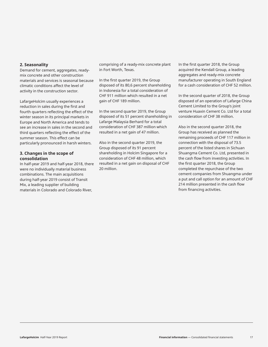#### **2. Seasonality**

Demand for cement, aggregates, readymix concrete and other construction materials and services is seasonal because climatic conditions affect the level of activity in the construction sector.

LafargeHolcim usually experiences a reduction in sales during the first and fourth quarters reflecting the effect of the winter season in its principal markets in Europe and North America and tends to see an increase in sales in the second and third quarters reflecting the effect of the summer season. This effect can be particularly pronounced in harsh winters.

#### **3. Changes in the scope of consolidation**

In half-year 2019 and half-year 2018, there were no individually material business combinations. The main acquisitions during half-year 2019 consist of Transit Mix, a leading supplier of building materials in Colorado and Colorado River,

comprising of a ready-mix concrete plant in Fort Worth, Texas.

In the first quarter 2019, the Group disposed of its 80,6 percent shareholding in Indonesia for a total consideration of CHF 911 million which resulted in a net gain of CHF 189 million.

In the second quarter 2019, the Group disposed of its 51 percent shareholding in Lafarge Malaysia Berhard for a total consideration of CHF 387 million which resulted in a net gain of 47 million.

Also in the second quarter 2019, the Group disposed of its 91 percent shareholding in Holcim Singapore for a consideration of CHF 48 million, which resulted in a net gain on disposal of CHF 20 million.

In the first quarter 2018, the Group acquired the Kendall Group, a leading aggregates and ready-mix concrete manufacturer operating in South England for a cash consideration of CHF 52 million.

In the second quarter of 2018, the Group disposed of an operation of Lafarge China Cement Limited to the Group's joint venture Huaxin Cement Co. Ltd for a total consideration of CHF 38 million.

Also in the second quarter 2018, the Group has received as planned the remaining proceeds of CHF 117 million in connection with the disposal of 73.5 percent of the listed shares in Sichuan Shuangma Cement Co. Ltd, presented in the cash flow from investing activities. In the first quarter 2018, the Group completed the repurchase of the two cement companies from Shuangma under a put and call option for an amount of CHF 214 million presented in the cash flow from financing activities.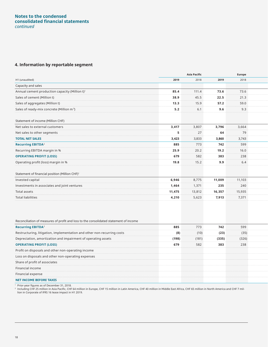#### **Notes to the condensed consolidated financial statements** *continued*

#### **4. Information by reportable segment**

|                                                                                       |        | <b>Asia Pacific</b> |        | Europe |  |
|---------------------------------------------------------------------------------------|--------|---------------------|--------|--------|--|
| H1 (unaudited)                                                                        | 2019   | 2018                | 2019   | 2018   |  |
| Capacity and sales                                                                    |        |                     |        |        |  |
| Annual cement production capacity (Million t) <sup>1</sup>                            | 85.4   | 111.4               | 73.6   | 73.6   |  |
| Sales of cement (Million t)                                                           | 38.9   | 45.5                | 22.5   | 21.3   |  |
| Sales of aggregates (Million t)                                                       | 13.3   | 15.9                | 57.2   | 59.0   |  |
| Sales of ready-mix concrete (Million m <sup>3</sup> )                                 | 5.2    | 6.1                 | 9.6    | 9.3    |  |
| Statement of income (Million CHF)                                                     |        |                     |        |        |  |
| Net sales to external customers                                                       | 3,417  | 3,807               | 3,796  | 3,664  |  |
| Net sales to other segments                                                           | -5     | $27$                | 64     | 79     |  |
| <b>TOTAL NET SALES</b>                                                                | 3,423  | 3,833               | 3,860  | 3,743  |  |
| <b>Recurring EBITDA<sup>2</sup></b>                                                   | 885    | 773                 | 742    | 599    |  |
| Recurring EBITDA margin in %                                                          | 25.9   | 20.2                | 19.2   | 16.0   |  |
| <b>OPERATING PROFIT (LOSS)</b>                                                        | 679    | 582                 | 383    | 238    |  |
| Operating profit (loss) margin in %                                                   | 19.8   | 15.2                | 9.9    | 6.4    |  |
| Statement of financial position (Million CHF) <sup>1</sup>                            |        |                     |        |        |  |
| Invested capital                                                                      | 6,946  | 8,775               | 11,009 | 11,103 |  |
| Investments in associates and joint ventures                                          | 1,464  | 1,371               | 235    | 240    |  |
| Total assets                                                                          | 11,475 | 13,812              | 16,357 | 15,935 |  |
| <b>Total liabilities</b>                                                              | 4,210  | 5,623               | 7,913  | 7,371  |  |
|                                                                                       |        |                     |        |        |  |
|                                                                                       |        |                     |        |        |  |
| Reconciliation of measures of profit and loss to the consolidated statement of income |        |                     |        |        |  |

| <b>Recurring EBITDA<sup>2</sup></b>                                     | 885   | 773   | 742   | 599   |
|-------------------------------------------------------------------------|-------|-------|-------|-------|
| Restructuring, litigation, implementation and other non-recurring costs | (8)   | (10)  | (23)  | (35)  |
| Depreciation, amortization and impairment of operating assets           | (198) | (181) | (335) | (326) |
| <b>OPERATING PROFIT (LOSS)</b>                                          | 679   | 582   | 383   | 238   |
| Profit on disposals and other non-operating income                      |       |       |       |       |
| Loss on disposals and other non-operating expenses                      |       |       |       |       |
| Share of profit of associates                                           |       |       |       |       |
| Financial income                                                        |       |       |       |       |
| Financial expense                                                       |       |       |       |       |
| <b>NET INCOME BEFORE TAXES</b>                                          |       |       |       |       |

1 Prior-year figures as of December 31, 2018.

ª Including CHF 25 million in Asia Pacific, CHF 64 million in Europe, CHF 15 million in Latin America, CHF 40 million in Middle East Africa, CHF 65 million in North America and CHF 7 mil-<br>∣ion in Corporate of IFRS 16 leas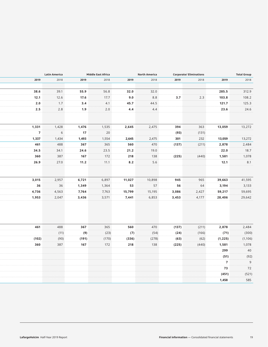| 2019<br>2018<br>2019<br>2018<br>2019<br>2018<br>2019<br>2018<br>2019<br>38.6<br>39.1<br>55.9<br>56.8<br>32.0<br>32.0<br>285.5<br>12.1<br>8.8<br>3.7<br>2.3<br>12.6<br>103.8<br>17.6<br>17.7<br>9.0<br>2.0<br>45.7<br>44.5<br>1.7<br>3.4<br>4.1<br>121.7<br>2.5<br>2.8<br>2.0<br>4.4<br>4.4<br>23.6<br>1.9<br>1,331<br>1,428<br>1,535<br>2,475<br>363<br>13,059<br>1,476<br>2,645<br>394<br>$\overline{7}$<br>6<br>17<br>20<br>(131)<br>(93)<br>1,337<br>1,554<br>2,475<br>232<br>1,434<br>1,493<br>2,645<br>301<br>13,059<br>488<br>470<br>461<br>365<br>367<br>560<br>(137)<br>(211)<br>2,878<br>34.5<br>34.1<br>24.6<br>23.5<br>21.2<br>19.0<br>22.0<br>360<br>387<br>172<br>218<br>138<br>(225)<br>(440)<br>1,581<br>167<br>5.6<br>26.9<br>27.0<br>8.2<br>12.1<br>11.2<br>11.1<br>2,957<br>965<br>3,015<br>6,897<br>11,027<br>10,898<br>945<br>39,663<br>6,721<br>36<br>36<br>57<br>1,364<br>53<br>56<br>64<br>3,194<br>1,349<br>4,736<br>4,563<br>7,764<br>7,763<br>15,799<br>15,195<br>2,427<br>59,217<br>3,086<br>3,571<br>6,853<br>4,177<br>1,953<br>2,047<br>3,436<br>7,441<br>3,453<br>28,406<br>488<br>461<br>367<br>365<br>560<br>470<br>(137)<br>(211)<br>2,878<br>(7)<br>(11)<br>(9)<br>(23)<br>(54)<br>(166)<br>(71)<br>(24)<br>(102)<br>(90)<br>(336)<br>(278)<br>(62)<br>(1, 225)<br>(191)<br>(170)<br>(63)<br>360<br>387<br>138<br>167<br>172<br>218<br>(225)<br>(440)<br>1,581<br>299<br>(51)<br>$\overline{7}$<br>73<br>(451)<br>1,458 | <b>Total Group</b> |  | <b>Corporate/ Eliminations</b> | <b>North America</b> |  | Middle East Africa | <b>Latin America</b> |  |  |  |
|-----------------------------------------------------------------------------------------------------------------------------------------------------------------------------------------------------------------------------------------------------------------------------------------------------------------------------------------------------------------------------------------------------------------------------------------------------------------------------------------------------------------------------------------------------------------------------------------------------------------------------------------------------------------------------------------------------------------------------------------------------------------------------------------------------------------------------------------------------------------------------------------------------------------------------------------------------------------------------------------------------------------------------------------------------------------------------------------------------------------------------------------------------------------------------------------------------------------------------------------------------------------------------------------------------------------------------------------------------------------------------------------------------------------------------------------------------------|--------------------|--|--------------------------------|----------------------|--|--------------------|----------------------|--|--|--|
|                                                                                                                                                                                                                                                                                                                                                                                                                                                                                                                                                                                                                                                                                                                                                                                                                                                                                                                                                                                                                                                                                                                                                                                                                                                                                                                                                                                                                                                           | 2018               |  |                                |                      |  |                    |                      |  |  |  |
|                                                                                                                                                                                                                                                                                                                                                                                                                                                                                                                                                                                                                                                                                                                                                                                                                                                                                                                                                                                                                                                                                                                                                                                                                                                                                                                                                                                                                                                           |                    |  |                                |                      |  |                    |                      |  |  |  |
|                                                                                                                                                                                                                                                                                                                                                                                                                                                                                                                                                                                                                                                                                                                                                                                                                                                                                                                                                                                                                                                                                                                                                                                                                                                                                                                                                                                                                                                           | 312.9              |  |                                |                      |  |                    |                      |  |  |  |
|                                                                                                                                                                                                                                                                                                                                                                                                                                                                                                                                                                                                                                                                                                                                                                                                                                                                                                                                                                                                                                                                                                                                                                                                                                                                                                                                                                                                                                                           | 108.2              |  |                                |                      |  |                    |                      |  |  |  |
|                                                                                                                                                                                                                                                                                                                                                                                                                                                                                                                                                                                                                                                                                                                                                                                                                                                                                                                                                                                                                                                                                                                                                                                                                                                                                                                                                                                                                                                           | 125.3              |  |                                |                      |  |                    |                      |  |  |  |
|                                                                                                                                                                                                                                                                                                                                                                                                                                                                                                                                                                                                                                                                                                                                                                                                                                                                                                                                                                                                                                                                                                                                                                                                                                                                                                                                                                                                                                                           | 24.6               |  |                                |                      |  |                    |                      |  |  |  |
|                                                                                                                                                                                                                                                                                                                                                                                                                                                                                                                                                                                                                                                                                                                                                                                                                                                                                                                                                                                                                                                                                                                                                                                                                                                                                                                                                                                                                                                           |                    |  |                                |                      |  |                    |                      |  |  |  |
|                                                                                                                                                                                                                                                                                                                                                                                                                                                                                                                                                                                                                                                                                                                                                                                                                                                                                                                                                                                                                                                                                                                                                                                                                                                                                                                                                                                                                                                           | 13,272             |  |                                |                      |  |                    |                      |  |  |  |
|                                                                                                                                                                                                                                                                                                                                                                                                                                                                                                                                                                                                                                                                                                                                                                                                                                                                                                                                                                                                                                                                                                                                                                                                                                                                                                                                                                                                                                                           |                    |  |                                |                      |  |                    |                      |  |  |  |
|                                                                                                                                                                                                                                                                                                                                                                                                                                                                                                                                                                                                                                                                                                                                                                                                                                                                                                                                                                                                                                                                                                                                                                                                                                                                                                                                                                                                                                                           | 13,272             |  |                                |                      |  |                    |                      |  |  |  |
|                                                                                                                                                                                                                                                                                                                                                                                                                                                                                                                                                                                                                                                                                                                                                                                                                                                                                                                                                                                                                                                                                                                                                                                                                                                                                                                                                                                                                                                           | 2,484              |  |                                |                      |  |                    |                      |  |  |  |
|                                                                                                                                                                                                                                                                                                                                                                                                                                                                                                                                                                                                                                                                                                                                                                                                                                                                                                                                                                                                                                                                                                                                                                                                                                                                                                                                                                                                                                                           |                    |  |                                |                      |  |                    |                      |  |  |  |
|                                                                                                                                                                                                                                                                                                                                                                                                                                                                                                                                                                                                                                                                                                                                                                                                                                                                                                                                                                                                                                                                                                                                                                                                                                                                                                                                                                                                                                                           | 1,078              |  |                                |                      |  |                    |                      |  |  |  |
|                                                                                                                                                                                                                                                                                                                                                                                                                                                                                                                                                                                                                                                                                                                                                                                                                                                                                                                                                                                                                                                                                                                                                                                                                                                                                                                                                                                                                                                           |                    |  |                                |                      |  |                    |                      |  |  |  |
|                                                                                                                                                                                                                                                                                                                                                                                                                                                                                                                                                                                                                                                                                                                                                                                                                                                                                                                                                                                                                                                                                                                                                                                                                                                                                                                                                                                                                                                           |                    |  |                                |                      |  |                    |                      |  |  |  |
|                                                                                                                                                                                                                                                                                                                                                                                                                                                                                                                                                                                                                                                                                                                                                                                                                                                                                                                                                                                                                                                                                                                                                                                                                                                                                                                                                                                                                                                           | 41,595<br>3,133    |  |                                |                      |  |                    |                      |  |  |  |
|                                                                                                                                                                                                                                                                                                                                                                                                                                                                                                                                                                                                                                                                                                                                                                                                                                                                                                                                                                                                                                                                                                                                                                                                                                                                                                                                                                                                                                                           |                    |  |                                |                      |  |                    |                      |  |  |  |
|                                                                                                                                                                                                                                                                                                                                                                                                                                                                                                                                                                                                                                                                                                                                                                                                                                                                                                                                                                                                                                                                                                                                                                                                                                                                                                                                                                                                                                                           |                    |  |                                |                      |  |                    |                      |  |  |  |
|                                                                                                                                                                                                                                                                                                                                                                                                                                                                                                                                                                                                                                                                                                                                                                                                                                                                                                                                                                                                                                                                                                                                                                                                                                                                                                                                                                                                                                                           |                    |  |                                |                      |  |                    |                      |  |  |  |
|                                                                                                                                                                                                                                                                                                                                                                                                                                                                                                                                                                                                                                                                                                                                                                                                                                                                                                                                                                                                                                                                                                                                                                                                                                                                                                                                                                                                                                                           |                    |  |                                |                      |  |                    |                      |  |  |  |
|                                                                                                                                                                                                                                                                                                                                                                                                                                                                                                                                                                                                                                                                                                                                                                                                                                                                                                                                                                                                                                                                                                                                                                                                                                                                                                                                                                                                                                                           |                    |  |                                |                      |  |                    |                      |  |  |  |
|                                                                                                                                                                                                                                                                                                                                                                                                                                                                                                                                                                                                                                                                                                                                                                                                                                                                                                                                                                                                                                                                                                                                                                                                                                                                                                                                                                                                                                                           |                    |  |                                |                      |  |                    |                      |  |  |  |
|                                                                                                                                                                                                                                                                                                                                                                                                                                                                                                                                                                                                                                                                                                                                                                                                                                                                                                                                                                                                                                                                                                                                                                                                                                                                                                                                                                                                                                                           |                    |  |                                |                      |  |                    |                      |  |  |  |
|                                                                                                                                                                                                                                                                                                                                                                                                                                                                                                                                                                                                                                                                                                                                                                                                                                                                                                                                                                                                                                                                                                                                                                                                                                                                                                                                                                                                                                                           |                    |  |                                |                      |  |                    |                      |  |  |  |
|                                                                                                                                                                                                                                                                                                                                                                                                                                                                                                                                                                                                                                                                                                                                                                                                                                                                                                                                                                                                                                                                                                                                                                                                                                                                                                                                                                                                                                                           |                    |  |                                |                      |  |                    |                      |  |  |  |
|                                                                                                                                                                                                                                                                                                                                                                                                                                                                                                                                                                                                                                                                                                                                                                                                                                                                                                                                                                                                                                                                                                                                                                                                                                                                                                                                                                                                                                                           |                    |  |                                |                      |  |                    |                      |  |  |  |
|                                                                                                                                                                                                                                                                                                                                                                                                                                                                                                                                                                                                                                                                                                                                                                                                                                                                                                                                                                                                                                                                                                                                                                                                                                                                                                                                                                                                                                                           |                    |  |                                |                      |  |                    |                      |  |  |  |
|                                                                                                                                                                                                                                                                                                                                                                                                                                                                                                                                                                                                                                                                                                                                                                                                                                                                                                                                                                                                                                                                                                                                                                                                                                                                                                                                                                                                                                                           |                    |  |                                |                      |  |                    |                      |  |  |  |
|                                                                                                                                                                                                                                                                                                                                                                                                                                                                                                                                                                                                                                                                                                                                                                                                                                                                                                                                                                                                                                                                                                                                                                                                                                                                                                                                                                                                                                                           |                    |  |                                |                      |  |                    |                      |  |  |  |
|                                                                                                                                                                                                                                                                                                                                                                                                                                                                                                                                                                                                                                                                                                                                                                                                                                                                                                                                                                                                                                                                                                                                                                                                                                                                                                                                                                                                                                                           |                    |  |                                |                      |  |                    |                      |  |  |  |
|                                                                                                                                                                                                                                                                                                                                                                                                                                                                                                                                                                                                                                                                                                                                                                                                                                                                                                                                                                                                                                                                                                                                                                                                                                                                                                                                                                                                                                                           |                    |  |                                |                      |  |                    |                      |  |  |  |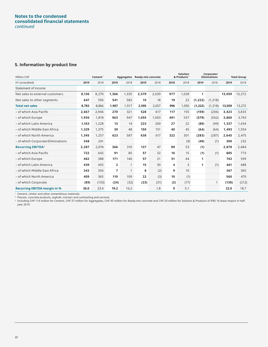#### **Notes to the condensed consolidated financial statements** *continued*

#### **5. Information by product line**

| Million CHF                         |       | Cement <sup>1</sup> |                | Aggregates   | <b>Ready-mix concrete</b> |       |      | <b>Solution</b><br>& Products <sup>2</sup> |              | Corporate/<br><b>Eliminations</b> |        | <b>Total Group</b> |
|-------------------------------------|-------|---------------------|----------------|--------------|---------------------------|-------|------|--------------------------------------------|--------------|-----------------------------------|--------|--------------------|
| H1 (unaudited)                      | 2019  | 2018                | 2019           | 2018         | 2019                      | 2018  | 2018 | 2018                                       | 2019         | 2018                              | 2019   | 2018               |
| Statement of income                 |       |                     |                |              |                           |       |      |                                            |              |                                   |        |                    |
| Net sales to external customers     | 8.136 | 8,270               | 1,366          | 1,335        | 2,579                     | 2,639 | 977  | 1,028                                      | 1            |                                   | 13.059 | 13,272             |
| Net sales to other segments         | 647   | 596                 | 541            | 582          | 15                        | 18    | 19   | 22                                         | (1, 222)     | (1, 218)                          |        |                    |
| <b>Total net sales</b>              | 8,783 | 8,866               | 1,907          | 1,917        | 2,595                     | 2,657 | 996  | 1,050                                      | (1, 222)     | (1, 218)                          | 13,059 | 13,272             |
| - of which Asia Pacific             | 2.667 | 2,946               | 270            | 321          | 528                       | 617   | 117  | 155                                        | (159)        | (206)                             | 3,423  | 3,833              |
| - of which Europe                   | 1,930 | 1,818               | 963            | 947          | 1,055                     | 1,003 | 491  | 537                                        | (579)        | (562)                             | 3,860  | 3,743              |
| - of which Latin America            | 1.163 | 1,228               | 13             | 14           | 223                       | 269   | 27   | 22                                         | (89)         | (99)                              | 1,337  | 1,434              |
| - of which Middle East Africa       | 1,329 | 1,375               | 39             | 48           | 150                       | 151   | 40   | 45                                         | (64)         | (64)                              | 1,493  | 1,554              |
| - of which North America            | 1,345 | 1,257               | 623            | 587          | 638                       | 617   | 322  | 301                                        | (283)        | (287)                             | 2,645  | 2,475              |
| - of which Corporate/Eliminations   | 348   | 241                 |                |              |                           |       |      | (9)                                        | (49)         | (1)                               | 300    | 232                |
| <b>Recurring EBITDA3</b>            | 2,287 | 2,074               | 366            | 310          | 137                       | 47    | 89   | 53                                         | (1)          |                                   | 2,878  | 2,484              |
| - of which Asia Pacific             | 722   | 642                 | 91             | 85           | 57                        | 32    | 16   | 15                                         | (1)          | (1)                               | 885    | 773                |
| - of which Europe                   | 462   | 388                 | 171            | 146          | 57                        | 21    | 51   | 44                                         | 1            |                                   | 742    | 599                |
| - of which Latin America            | 439   | 455                 | $\overline{2}$ | $\mathbf{1}$ | 15                        | 30    | 4    | 3                                          | $\mathbf{1}$ | (1)                               | 461    | 488                |
| - of which Middle East Africa       | 343   | 356                 | 7              | $\mathbf{1}$ | 8                         | (2)   | 9    | 10                                         |              |                                   | 367    | 365                |
| - of which North America            | 409   | 365                 | 119            | 109          | 22                        | (3)   | 10   | (1)                                        |              |                                   | 560    | 470                |
| - of which Corporate                | (89)  | (133)               | (24)           | (32)         | (23)                      | (31)  | (2)  | (17)                                       |              | $\mathbf{1}$                      | (138)  | (212)              |
| <b>Recurring EBITDA margin in %</b> | 26.0  | 23.4                | 19.2           | 16.2         |                           | 1.8   | 9    | 5.1                                        |              |                                   | 22.0   | 18.7               |

<sup>1</sup> Cement, clinker and other cementitious materials.

 $2$  Precast, concrete products, asphalt, mortars and contracting and services.

 $^{\rm 3}$  Including CHF 114 million for Cement, CHF 37 million for Aggregates, CHF 45 million for Ready-mix concrete and CHF 20 million for Solution & Products of IFRS 16 lease impact in halfyear 2019.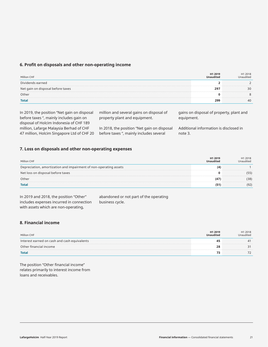#### **6. Profit on disposals and other non-operating income**

| Million CHF                       | H1 2019<br><b>Unaudited</b> | H1 2018<br>Unaudited |
|-----------------------------------|-----------------------------|----------------------|
| Dividends earned                  |                             |                      |
| Net gain on disposal before taxes | 297                         | 30                   |
| Other                             |                             | 8                    |
| <b>Total</b>                      | 299                         | 40                   |

In 2019, the position "Net gain on disposal before taxes ", mainly includes gain on disposal of Holcim Indonesia of CHF 189 million, Lafarge Malaysia Berhad of CHF 47 million, Holcim Singapore Ltd of CHF 20 million and several gains on disposal of property plant and equipment.

In 2018, the position "Net gain on disposal before taxes ", mainly includes several

gains on disposal of property, plant and equipment.

Additional information is disclosed in note 3.

#### **7. Loss on disposals and other non-operating expenses**

| Million CHF                                                       | H1 2019<br><b>Unaudited</b> | H1 2018<br>Unaudited |
|-------------------------------------------------------------------|-----------------------------|----------------------|
| Depreciation, amortization and impairment of non-operating assets | (4)                         |                      |
| Net loss on disposal before taxes                                 | 0                           | (55)                 |
| Other                                                             | (47)                        | (38)                 |
| <b>Total</b>                                                      | (51)                        | (92)                 |

In 2019 and 2018, the position "Other" includes expenses incurred in connection with assets which are non-operating,

abandoned or not part of the operating business cycle.

#### **8. Financial income**

| Million CHF                                  | H1 2019<br><b>Unaudited</b> | H1 2018<br>Unaudited |
|----------------------------------------------|-----------------------------|----------------------|
| Interest earned on cash and cash equivalents | 45                          | 41                   |
| Other financial income                       | 28                          |                      |
| <b>Total</b>                                 | 73                          |                      |

The position "Other financial income" relates primarily to interest income from loans and receivables.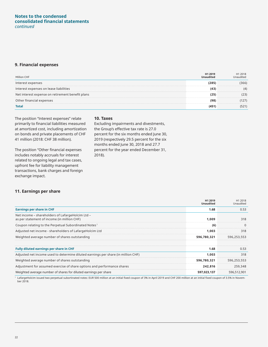#### **Notes to the condensed consolidated financial statements** *continued*

#### **9. Financial expenses**

| Million CHF                                      | H1 2019<br><b>Unaudited</b> | H1 2018<br>Unaudited |
|--------------------------------------------------|-----------------------------|----------------------|
| Interest expenses                                | (285)                       | (366)                |
| Interest expenses on lease liabilities           | (43)                        | (4)                  |
| Net interest expense on retirement benefit plans | (25)                        | (23)                 |
| Other financial expenses                         | (98)                        | (127)                |
| <b>Total</b>                                     | (451)                       | (521)                |

The position "Interest expenses" relate primarily to financial liabilities measured at amortized cost, including amortization on bonds and private placements of CHF 41 million (2018: CHF 38 million).

The position "Other financial expenses includes notably accruals for interest related to ongoing legal and tax cases, upfront fee for liability management transactions, bank charges and foreign exchange impact.

#### **10. Taxes**

Excluding impairments and divestments, the Group's effective tax rate is 27.0 percent for the six months ended June 30, 2019 (respectively 29.5 percent for the six months ended June 30, 2018 and 27.7 percent for the year ended December 31, 2018).

#### **11. Earnings per share**

|                                                                                                 | H1 2019<br><b>Unaudited</b> | H1 2018<br>Unaudited |
|-------------------------------------------------------------------------------------------------|-----------------------------|----------------------|
| <b>Earnings per share in CHF</b>                                                                | 1.68                        | 0.53                 |
| Net income - shareholders of LafargeHolcim Ltd -<br>as per statement of income (in million CHF) | 1,009                       | 318                  |
| Coupon relating to the Perpetual Subordinated Notes <sup>1</sup>                                | (6)                         | $\Omega$             |
| Adjusted net income - shareholders of LafargeHolcim Ltd                                         | 1,003                       | 318                  |
| Weighted average number of shares outstanding                                                   | 596,780,321                 | 596,253,553          |
|                                                                                                 |                             |                      |
| Fully diluted earnings per share in CHF                                                         | 1.68                        | 0.53                 |
| Adjusted net income used to determine diluted earnings per share (in million CHF)               | 1,003                       | 318                  |
| Weighted average number of shares outstanding                                                   | 596,780,321                 | 596,253,553          |
| Adjustment for assumed exercise of share options and performance shares                         | 242,816                     | 259,348              |
| Weighted average number of shares for diluted earnings per share                                | 597,023,137                 | 596,512,901          |

1 LafargeHolcim issued two perpetual subortinated notes: EUR 500 million at an initial fixed coupon of 3% in April 2019 and CHF 200 million at an initial fixed coupon of 3.5% in November 2018.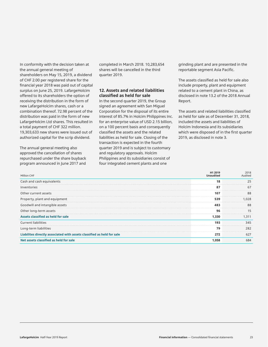In conformity with the decision taken at the annual general meeting of shareholders on May 15, 2019, a dividend of CHF 2.00 per registered share for the financial year 2018 was paid out of capital surplus on June 25, 2019. LafargeHolcim offered to its shareholders the option of receiving the distribution in the form of new LafargeHolcim shares, cash or a combination thereof. 72.98 percent of the distribution was paid in the form of new LafargeHolcim Ltd shares. This resulted in a total payment of CHF 322 million. 19,303,633 new shares were issued out of authorized capital for the scrip dividend.

The annual general meeting also approved the cancellation of shares repurchased under the share buyback program announced in June 2017 and completed in March 2018. 10,283,654 shares will be cancelled in the third quarter 2019.

#### **12. Assets and related liabilities classified as held for sale**

In the second quarter 2019, the Group signed an agreement with San Miguel Corporation for the disposal of its entire interest of 85.7% in Holcim Philippines Inc. for an enterprise value of USD 2.15 billion, on a 100 percent basis and consequently classified the assets and the related liabilities as held for sale. Closing of the transaction is expected in the fourth quarter 2019 and is subject to customary and regulatory approvals. Holcim Philippines and its subsidiaries consist of four integrated cement plants and one

grinding plant and are presented in the reportable segment Asia Pacific.

The assets classified as held for sale also include property, plant and equipment related to a cement plant in China, as disclosed in note 13.2 of the 2018 Annual Report.

The assets and related liabilities classified as held for sale as of December 31, 2018, included the assets and liabilities of Holcim Indonesia and its subsidiaries which were disposed of in the first quarter 2019, as disclosed in note 3.

| Million CHF                                                            | H1 2019<br><b>Unaudited</b> | 2018<br>Audited |
|------------------------------------------------------------------------|-----------------------------|-----------------|
| Cash and cash equivalents                                              | 18                          | 25              |
| Inventories                                                            | 87                          | 67              |
| Other current assets                                                   | 107                         | 88              |
| Property, plant and equipment                                          | 539                         | 1,028           |
| Goodwill and intangible assets                                         | 483                         | 88              |
| Other long-term assets                                                 | 96                          | 15              |
| Assets classified as held for sale                                     | 1,330                       | 1,311           |
| <b>Current liabilities</b>                                             | 193                         | 345             |
| Long-term liabilities                                                  | 79                          | 282             |
| Liabilites directly associated with assets classified as held for sale | 272                         | 627             |
| Net assets classified as held for sale                                 | 1,058                       | 684             |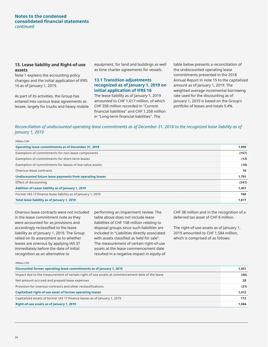#### **Notes to the condensed consolidated financial statements** *continued*

#### **13. Lease liability and Right-of-use assets**

Note 1 explains the accounting policy changes and the initial application of IFRS 16 as of January 1, 2019.

As part of its activities, the Group has entered into various lease agreements as lessee, largely for trucks and heavy mobile

equipment, for land and buildings as well as time charter agreements for vessels.

#### **13.1 Transition adjustments recognized as of January 1, 2019 on initial application of IFRS 16**

The lease liability as of January 1, 2019 amounted to CHF 1,617 million, of which CHF 358 million recorded in "Current financial liabilities" and CHF 1,258 million in "Long-term financial liabilities". The

table below presents a reconciliation of the undiscounted operating lease commitments presented in the 2018 Annual Report in note 15 to the capitalized amount as of January 1, 2019. The weighted average incremental borrowing rate used for the discounting as of January 1, 2019 is based on the Group's portfolio of leases and totals 5.4%.

#### *Reconciliation of undiscounted operating lease commitments as of December 31, 2018 to the recognized lease liability as of January 1, 2019*

| <b>Operating lease commitments as of December 31, 2018</b><br>Exemption of commitments for non-lease components<br>Exemption of commitments for short-term leases<br>Exemption of commitments for leases of low value assets<br>Onerous lease contracts<br>Undiscounted future lease payments from operating leases |       |
|---------------------------------------------------------------------------------------------------------------------------------------------------------------------------------------------------------------------------------------------------------------------------------------------------------------------|-------|
|                                                                                                                                                                                                                                                                                                                     | 1,955 |
|                                                                                                                                                                                                                                                                                                                     | (157) |
|                                                                                                                                                                                                                                                                                                                     | (13)  |
|                                                                                                                                                                                                                                                                                                                     | (10)  |
|                                                                                                                                                                                                                                                                                                                     | 16    |
|                                                                                                                                                                                                                                                                                                                     | 1,791 |
| Effect of discounting                                                                                                                                                                                                                                                                                               | (341) |
| Addition of Lease liability as of January 1, 2019                                                                                                                                                                                                                                                                   | 1,451 |
| Former IAS 17 finance lease liability as of January 1, 2019                                                                                                                                                                                                                                                         | 166   |
| Total lease liability as of January 1, 2019                                                                                                                                                                                                                                                                         | 1,617 |

Onerous lease contracts were not included in the lease commitment note as they were accounted for as provisions and accordingly reclassified to the lease liability as of January 1, 2019. The Group relied on its assessment as to whether leases are onerous by applying IAS 37 immediately before the date of initial recognition as an alternative to

performing an impairment review. The table above does not include lease liabilities of CHF 108 million relating to disposal groups since such liabilities are included in "Liabilities directly associated with assets classified as held for sale". The measurement of certain right-of-use assets at the lease commencement date resulted in a negative impact in equity of CHF 38 million and in the recognition of a deferred tax asset of CHF 8 million.

The right-of-use assets as of January 1, 2019 amounted to CHF 1,584 million, which is comprised of as follows:

| Discounted former operating lease commitments as of January 1, 2019                            | 1,451 |
|------------------------------------------------------------------------------------------------|-------|
| Impact due to the measurement of certain right-of-use assets at commencement date of the lease | (46)  |
| Net amount accrued and prepaid lease expenses                                                  | 28    |
| Provision for onerous contracts and other reclassifications                                    | (21)  |
| Capitalized right-of-use asset of former operating leases                                      | 1.412 |
| Capitalized assets of former IAS 17 finance leases as of January 1, 2019                       | 172   |
| Right-of-use assets as of January 1, 2019                                                      | 1.584 |

Million CHF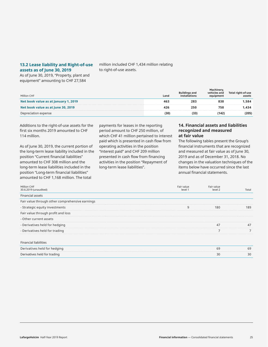#### **13.2 Lease liability and Right-of-use assets as of June 30, 2019**

million included CHF 1,434 million relating to right-of-use assets.

As of June 30, 2019, "Property, plant and equipment" amounting to CHF 27,584

| Million CHF                          | Land | <b>Buildings and</b><br>installations | Machinery,<br>vehicles and<br>equipment | Total right-of-use<br>assets |
|--------------------------------------|------|---------------------------------------|-----------------------------------------|------------------------------|
| Net book value as at January 1, 2019 | 463  | 283                                   | 838                                     | 1.584                        |
| Net book value as at June 30, 2019   | 426  | 250                                   | 758                                     | 1.434                        |
| Depreciation expense                 | (30) | (33)                                  | (142)                                   | (205)                        |

Additions to the right-of-use assets for the first six months 2019 amounted to CHF 114 million.

As of June 30, 2019, the current portion of the long-term lease liability included in the position "Current financial liabilities" amounted to CHF 308 million and the long-term lease liabilities included in the position "Long-term financial liabilities" amounted to CHF 1,168 million. The total

payments for leases in the reporting period amount to CHF 250 million, of which CHF 41 million pertained to interest paid which is presented in cash flow from operating activities in the position "Interest paid" and CHF 209 million presented in cash flow from financing activities in the position "Repayment of long-term lease liabilities".

#### **14. Financial assets and liabilities recognized and measured at fair value**

The following tables present the Group's financial instruments that are recognized and measured at fair value as of June 30, 2019 and as of December 31, 2018. No changes in the valuation techniques of the items below have occurred since the last annual financial statements.

| Million CHF<br>30.6.2019 (unaudited)            | Fair value<br>level 1 | Fair value<br>level 2 | Total |
|-------------------------------------------------|-----------------------|-----------------------|-------|
| <b>Financial assets</b>                         |                       |                       |       |
| Fair value through other comprehensive earnings |                       |                       |       |
| - Strategic equity investments                  | 9                     | 180                   | 189   |
| Fair value through profit and loss              |                       |                       |       |
| - Other current assets                          |                       |                       |       |
| - Derivatives held for hedging                  |                       | 47                    | 47    |
| - Derivatives held for trading                  |                       | $\overline{ }$        |       |
|                                                 |                       |                       |       |
| <b>Financial liabilities</b>                    |                       |                       |       |
| Derivatives held for hedging                    |                       | 69                    | 69    |

Derivatives held for trading 30 30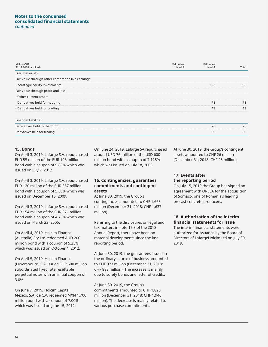#### **Notes to the condensed consolidated financial statements** *continued*

| Million CHF<br>31.12.2018 (audited)             | Fair value<br>level 1 | Fair value<br>level 2 | Total |
|-------------------------------------------------|-----------------------|-----------------------|-------|
| Financial assets                                |                       |                       |       |
| Fair value through other comprehensive earnings |                       |                       |       |
| - Strategic equity investments                  |                       | 196                   | 196   |
| Fair value through profit and loss              |                       |                       |       |
| - Other current assets                          |                       |                       |       |
| - Derivatives held for hedging                  |                       | 78                    | 78    |
| - Derivatives held for trading                  |                       | 13                    | 13    |
| <b>Financial liabilities</b>                    |                       |                       |       |
| Derivatives held for hedging                    |                       | 76                    | 76    |
| Derivatives held for trading                    |                       | 60                    | 60    |

#### **15. Bonds**

On April 3, 2019, Lafarge S.A. repurchased EUR 55 million of the EUR 198 million bond with a coupon of 5.88% which was issued on July 9, 2012.

On April 3, 2019, Lafarge S.A. repurchased EUR 120 million of the EUR 357 million bond with a coupon of 5.50% which was issued on December 16, 2009.

On April 3, 2019, Lafarge S.A. repurchased EUR 154 million of the EUR 371 million bond with a coupon of 4.75% which was issued on March 23, 2005.

On April 4, 2019, Holcim Finance (Australia) Pty Ltd redeemed AUD 200 million bond with a coupon of 5.25% which was issued on October 4, 2012.

On April 5, 2019, Holcim Finance (Luxembourg) S.A. issued EUR 500 million subordinated fixed rate resettable perpetual notes with an initial coupon of 3.0%.

On June 7, 2019, Holcim Capital México, S.A. de C.V. redeemed MXN 1,700 million bond with a coupon of 7.00% which was issued on June 15, 2012.

On June 24, 2019, Lafarge SA repurchased around USD 76 million of the USD 600 million bond with a coupon of 7.125% which was issued on July 18, 2006.

#### **16. Contingencies, guarantees, commitments and contingent assets**

At June 30, 2019, the Group's contingencies amounted to CHF 1,668 million (December 31, 2018: CHF 1,637 million).

Referring to the disclosures on legal and tax matters in note 17.3 of the 2018 Annual Report, there have been no material developments since the last reporting period.

At June 30, 2019, the guarantees issued in the ordinary course of business amounted to CHF 973 million (December 31, 2018: CHF 888 million). The increase is mainly due to surety bonds and letter of credits.

At June 30, 2019, the Group's commitments amounted to CHF 1,820 million (December 31, 2018: CHF 1,946 million). The decrease is mainly related to various purchase commitments.

At June 30, 2019, the Group's contingent assets amounted to CHF 26 million (December 31, 2018: CHF 25 million).

#### **17. Events after the reporting period**

On July 15, 2019 the Group has signed an agreement with ORESA for the acquisition of Somaco, one of Romania's leading precast concrete producers.

#### **18. Authorization of the interim financial statements for issue**

The interim financial statements were authorized for issuance by the Board of Directors of LafargeHolcim Ltd on July 30, 2019.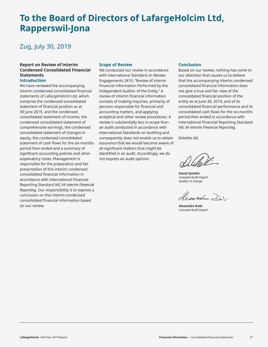### **To the Board of Directors of LafargeHolcim Ltd, Rapperswil-Jona**

### Zug, July 30, 2019

#### **Report on Review of Interim Condensed Consolidated Financial Statements**

#### **Introduction**

We have reviewed the accompanying interim condensed consolidated financial statements of LafargeHolcim Ltd, which comprise the condensed consolidated statement of financial position as at 30 June 2019, and the condensed consolidated statement of income, the condensed consolidated statement of comprehensive earnings, the condensed consolidated statement of changes in equity, the condensed consolidated statement of cash flows for the six-months period then ended and a summary of significant accounting policies and other explanatory notes. Management is responsible for the preparation and fair presentation of this interim condensed consolidated financial information in accordance with International Financial Reporting Standard IAS 34 *Interim Financial Reporting*. Our responsibility is to express a conclusion on this interim condensed consolidated financial information based on our review.

#### **Scope of Review**

We conducted our review in accordance with International Standard on Review Engagements 2410, "Review of Interim Financial Information Performed by the Independent Auditor of the Entity." A review of interim financial information consists of making inquiries, primarily of persons responsible for financial and accounting matters, and applying analytical and other review procedures. A review is substantially less in scope than an audit conducted in accordance with International Standards on Auditing and consequently does not enable us to obtain assurance that we would become aware of all significant matters that might be identified in an audit. Accordingly, we do not express an audit opinion.

#### **Conclusion**

Based on our review, nothing has come to our attention that causes us to believe that the accompanying interim condensed consolidated financial information does not give a true and fair view of the consolidated financial position of the entity as at June 30, 2019, and of its consolidated financial performance and its consolidated cash flows for the six-months period then ended in accordance with International Financial Reporting Standard IAS 34 *Interim Financial Reporting*.

Deloitte AG

**David Quinlin** *Licensed Audit Expert Auditor in charge*

Aexandre Dr.

**Alexandre Dubi** *Licensed Audit Expert*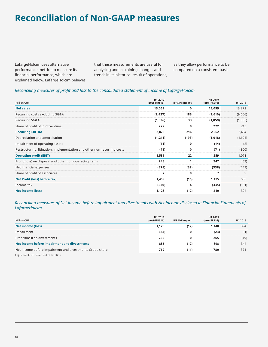### **Reconciliation of Non-GAAP measures**

LafargeHolcim uses alternative performance metrics to measure its financial performance, which are explained below. LafargeHolcim believes that these measurements are useful for analyzing and explaining changes and trends in its historical result of operations, as they allow performance to be compared on a consistent basis.

#### *Reconciling measures of profit and loss to the consolidated statement of income of LafargeHolcim*

| Million CHF                                                             | H1 2019<br>(post-IFRS16) | IFRS16 impact | H1 2019<br>(pre-IFRS16) | H1 2018  |
|-------------------------------------------------------------------------|--------------------------|---------------|-------------------------|----------|
| <b>Net sales</b>                                                        | 13,059                   | 0             | 13,059                  | 13,272   |
| Recurring costs excluding SG&A                                          | (9, 427)                 | 183           | (9,610)                 | (9,666)  |
| Recurring SG&A                                                          | (1,026)                  | 33            | (1,059)                 | (1, 335) |
| Share of profit of joint ventures                                       | 272                      | 0             | 272                     | 213      |
| <b>Recurring EBITDA</b>                                                 | 2,878                    | 216           | 2,662                   | 2,484    |
| Depreciation and amortization                                           | (1, 211)                 | (193)         | (1,018)                 | (1, 104) |
| Impairment of operating assets                                          | (14)                     | 0             | (14)                    | (2)      |
| Restructuring, litigation, implementation and other non-recurring costs | (71)                     | 0             | (71)                    | (300)    |
| <b>Operating profit (EBIT)</b>                                          | 1,581                    | 22            | 1,559                   | 1,078    |
| Profit (loss) on disposal and other non-operating items                 | 248                      | $\mathbf{1}$  | 247                     | (52)     |
| Net financial expenses                                                  | (378)                    | (39)          | (338)                   | (449)    |
| Share of profit of associates                                           | 7                        | 0             | 7                       | 9        |
| Net Profit (loss) before tax)                                           | 1,459                    | (16)          | 1,475                   | 585      |
| Income tax                                                              | (330)                    | 4             | (335)                   | (191)    |
| <b>Net income (loss)</b>                                                | 1,128                    | (12)          | 1,140                   | 394      |

#### *Reconciling measures of Net income before impairment and divestments with Net income disclosed in Financial Statements of LafargeHolcim*

| Million CHF                                              | H1 2019<br>(post-IFRS16) | <b>IFRS16 impact</b> | H1 2019<br>$(pre-IFRS16)$ | H1 2018 |
|----------------------------------------------------------|--------------------------|----------------------|---------------------------|---------|
| Net income (loss)                                        | 1.128                    | (12)                 | 1,140                     | 394     |
| Impairment                                               | (23)                     | 0                    | (23)                      | (1)     |
| Profit/(loss) on divestments                             | 265                      | 0                    | 265                       | (49)    |
| Net income before impairment and divestments             | 886                      | (12)                 | 898                       | 344     |
| Net income before impairment and divestments Group share | 769                      | (11)                 | 780                       | 371     |

Adjustments disclosed net of taxation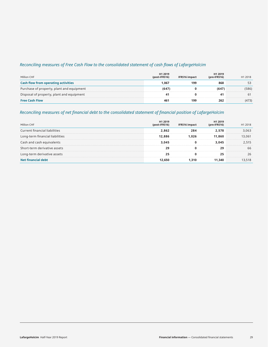#### *Reconciling measures of Free Cash Flow to the consolidated statement of cash flows of LafargeHolcim*

| Million CHF                                | H <sub>1</sub> 2019<br>(post-IFRS16) | <b>IFRS16 impact</b> | H1 2019<br>$(\text{pre-IFRS16})$ | H1 2018 |
|--------------------------------------------|--------------------------------------|----------------------|----------------------------------|---------|
| <b>Cash flow from operating activities</b> | 1.067                                | 199                  | 868                              | 53      |
| Purchase of property, plant and equipment  | (647)                                | 0                    | (647)                            | (586)   |
| Disposal of property, plant and equipment  | 41                                   |                      | 41                               | 61      |
| <b>Free Cash Flow</b>                      | 461                                  | 199                  | 262                              | (473)   |

#### *Reconciling measures of net financial debt to the consolidated statement of financial position of LafargeHolcim*

| Million CHF                          | H1 2019<br>(post-IFRS16) | <b>IFRS16 impact</b> | H1 2019<br>$(\text{pre-IFRS16})$ | H1 2018 |
|--------------------------------------|--------------------------|----------------------|----------------------------------|---------|
| <b>Current financial liabilities</b> | 2.862                    | 284                  | 2,578                            | 3,063   |
| Long-term financial liabilities      | 12.886                   | 1.026                | 11.860                           | 13,061  |
| Cash and cash equivalents            | 3.045                    | 0                    | 3.045                            | 2.515   |
| Short-term derivative assets         | 29                       | 0                    | 29                               | 66      |
| Long-term derivative assets          | 25                       | O                    | 25                               | 26      |
| Net financial debt                   | 12.650                   | 1.310                | 11.340                           | 13,518  |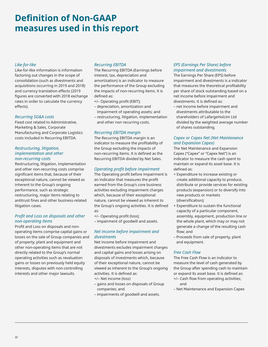### **Definition of Non-GAAP measures used in this report**

#### *Like-for-like*

Like-for-like information is information factoring out changes in the scope of consolidation (such as divestments and acquisitions occurring in 2019 and 2018) and currency translation effects (2019 figures are converted with 2018 exchange rates in order to calculate the currency effects).

#### *Recurring SG&A costs*

Fixed cost related to Administrative, Marketing & Sales, Corporate Manufacturing and Corporate Logistics costs included in Recurring EBITDA.

#### *Restructuring, litigation, implementation and other non-recurring costs*

Restructuring, litigation, implementation and other non-recurring costs comprise significant items that, because of their exceptional nature, cannot be viewed as inherent to the Group's ongoing performance, such as strategic restructuring, major items relating to antitrust fines and other business-related litigation cases.

#### *Profit and Loss on disposals and other non-operating items*

Profit and Loss on disposals and nonoperating items comprise capital gains or losses on the sale of Group companies and of property, plant and equipment and other non-operating items that are not directly related to the Group's normal operating activities such as revaluation gains or losses on previously held equity interests, disputes with non-controlling interests and other major lawsuits.

#### *Recurring EBITDA*

The Recurring EBITDA (Earnings before interest, tax, depreciation and amortization) is an indicator to measure the performance of the Group excluding the impacts of non-recurring items. It is defined as:

+/– Operating profit (EBIT);

- depreciation, amortization and impairment of operating assets; and
- restructuring, litigation, implementation and other non recurring costs.

#### *Recurring EBITDA margin*

The Recurring EBITDA margin is an indicator to measure the profitability of the Group excluding the impacts of non-recurring items. It is defined as the Recurring EBITDA divided by Net Sales.

#### *Operating profit before impairment*

The Operating profit before impairment is an indicator that measures the profit earned from the Group's core business activities excluding impairment charges which, because of their exceptional nature, cannot be viewed as inherent to the Group's ongoing activities. It is defined as:

+/– Operating profit (loss); – impairment of goodwill and assets.

#### *Net income before impairment and divestments*

Net income before impairment and divestments excludes impairment charges and capital gains and losses arising on disposals of investments which, because of their exceptional nature, cannot be viewed as inherent to the Group's ongoing activities. It is defined as:

- +/– Net income (loss)
- gains and losses on disposals of Group companies; and
- impairments of goodwill and assets.

#### *EPS (Earnings Per Share) before impairment and divestments*

The Earnings Per Share (EPS) before impairment and divestments is a indicator that measures the theoretical profitability per share of stock outstanding based on a net income before impairment and divestments. It is defined as:

– net income before impairment and divestments attributable to the shareholders of LafargeHolcim Ltd divided by the weighted average number of shares outstanding.

#### *Capex or Capex Net (Net Maintenance and Expansion Capex)*

The Net Maintenance and Expansion Capex ("Capex" or "Capex Net") is an indicator to measure the cash spent to maintain or expand its asset base. It is defined as:

- + Expenditure to increase existing or create additional capacity to produce, distribute or provide services for existing products (expansion) or to diversify into new products or markets (diversification);
- + Expenditure to sustain the functional capacity of a particular component, assembly, equipment, production line or the whole plant, which may or may not generate a change of the resulting cash flow; and
- Proceeds from sale of property, plant and equipment.

#### *Free Cash Flow*

The Free Cash Flow is an indicator to measure the level of cash generated by the Group after spending cash to maintain or expand its asset base. It is defined as:

- +/– Cash flow from operating activities; and
- Net Maintenance and Expansion Capex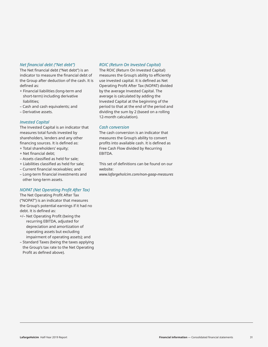#### *Net financial debt ("Net debt")*

The Net financial debt ("Net debt") is an indicator to measure the financial debt of the Group after deduction of the cash. It is defined as:

- + Financial liabilities (long-term and short-term) including derivative liabilities;
- Cash and cash equivalents; and
- Derivative assets.

#### *Invested Capital*

The Invested Capital is an indicator that measures total funds invested by shareholders, lenders and any other financing sources. It is defined as:

- + Total shareholders' equity;
- + Net financial debt;
- Assets classified as held for sale;
- + Liabilities classified as held for sale;
- Current financial receivables; and
- Long-term financial investments and other long-term assets.

#### *NOPAT (Net Operating Profit After Tax)*

The Net Operating Profit After Tax ("NOPAT") is an indicator that measures the Group's potential earnings if it had no debt. It is defined as:

- +/– Net Operating Profit (being the recurring EBITDA, adjusted for depreciation and amortization of operating assets but excluding impairment of operating assets); and
- Standard Taxes (being the taxes applying the Group's tax rate to the Net Operating Profit as defined above).

#### *ROIC (Return On Invested Capital)*

The ROIC (Return On Invested Capital) measures the Group's ability to efficiently use invested capital. It is defined as Net Operating Profit After Tax (NOPAT) divided by the average Invested Capital. The average is calculated by adding the Invested Capital at the beginning of the period to that at the end of the period and dividing the sum by 2 (based on a rolling 12-month calculation).

#### *Cash conversion*

The cash conversion is an indicator that measures the Group's ability to convert profits into available cash. It is defined as Free Cash Flow divided by Recurring EBITDA.

This set of definitions can be found on our website:

*www.lafargeholcim.com/non-gaap-measures*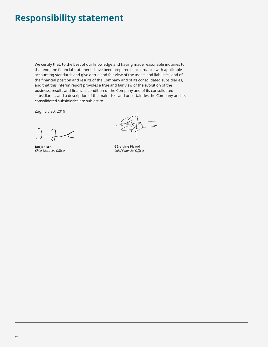### **Responsibility statement**

We certify that, to the best of our knowledge and having made reasonable inquiries to that end, the financial statements have been prepared in accordance with applicable accounting standards and give a true and fair view of the assets and liabilities, and of the financial position and results of the Company and of its consolidated subsidiaries, and that this interim report provides a true and fair view of the evolution of the business, results and financial condition of the Company and of its consolidated subsidiaries, and a description of the main risks and uncertainties the Company and its consolidated subsidiaries are subject to.

Zug, July 30, 2019

**Jan Jenisch**  *Chief Executive Officer*

**Géraldine Picaud** *Chief Financial Officer*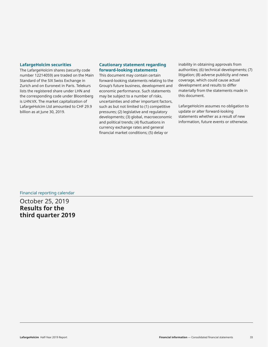#### **LafargeHolcim securities**

The LafargeHolcim shares (security code number 12214059) are traded on the Main Standard of the SIX Swiss Exchange in Zurich and on Euronext in Paris. Telekurs lists the registered share under LHN and the corresponding code under Bloomberg is LHN:VX. The market capitalization of LafargeHolcim Ltd amounted to CHF 29.9 billion as at June 30, 2019.

#### **Cautionary statement regarding forward-looking statements**

This document may contain certain forward-looking statements relating to the Group's future business, development and economic performance. Such statements may be subject to a number of risks, uncertainties and other important factors, such as but not limited to (1) competitive pressures; (2) legislative and regulatory developments; (3) global, macroeconomic and political trends; (4) fluctuations in currency exchange rates and general financial market conditions; (5) delay or

inability in obtaining approvals from authorities; (6) technical developments; (7) litigation; (8) adverse publicity and news coverage, which could cause actual development and results to differ materially from the statements made in this document.

LafargeHolcim assumes no obligation to update or alter forward-looking statements whether as a result of new information, future events or otherwise.

Financial reporting calendar

October 25, 2019 **Results for the third quarter 2019**